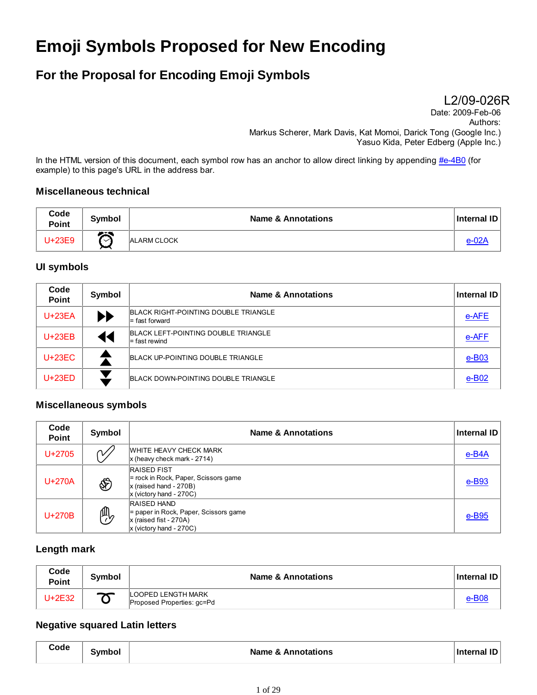# **Emoji Symbols Proposed for New Encoding**

# **For the Proposal for Encoding Emoji Symbols**

L2/09-026R

Date: 2009-Feb-06 Authors: Markus Scherer, Mark Davis, Kat Momoi, Darick Tong (Google Inc.) Yasuo Kida, Peter Edberg (Apple Inc.)

In the HTML version of this document, each symbol row has an anchor to allow direct linking by appending #e-4B0 (for example) to this page's URL in the address bar.

#### **Miscellaneous technical**

| Code<br>Point | <b>Symbol</b>    | <b>Name &amp; Annotations</b> | Internal ID |
|---------------|------------------|-------------------------------|-------------|
| U+23E9        | ヘベ<br>$\backsim$ | <b>ALARM CLOCK</b>            |             |

#### **UI symbols**

| Code<br><b>Point</b> | Symbol                | <b>Name &amp; Annotations</b>                            | Internal ID |
|----------------------|-----------------------|----------------------------------------------------------|-------------|
| $U+23EA$             | $\blacktriangleright$ | BLACK RIGHT-POINTING DOUBLE TRIANGLE<br>$=$ fast forward | e-AFE       |
| $U+23EB$             | ◀◀                    | BLACK LEFT-POINTING DOUBLE TRIANGLE<br>$=$ fast rewind   | e-AFF       |
| $U+23EC$             |                       | BLACK UP-POINTING DOUBLE TRIANGLE                        | $e$ -B03    |
| $U+23ED$             |                       | BLACK DOWN-POINTING DOUBLE TRIANGLE                      | $e$ -B02    |

#### **Miscellaneous symbols**

| Code<br><b>Point</b> | Symbol    | <b>Name &amp; Annotations</b>                                                                                         | <b>Internal ID</b>   |
|----------------------|-----------|-----------------------------------------------------------------------------------------------------------------------|----------------------|
| $U + 2705$           | $\sim$    | WHITE HEAVY CHECK MARK<br>$x$ (heavy check mark - 2714)                                                               | $e$ -B4A             |
| $U+270A$             | È         | <b>RAISED FIST</b><br>$=$ rock in Rock, Paper, Scissors game<br>$x$ (raised hand - 270B)<br>$x$ (victory hand - 270C) | $e$ -B <sub>93</sub> |
| $U+270B$             | <u> 帆</u> | <b>RAISED HAND</b><br>= paper in Rock, Paper, Scissors game<br>$x$ (raised fist - 270A)<br>$x$ (victory hand - 270C)  | $e$ -B <sub>95</sub> |

#### **Length mark**

| Code<br><b>Point</b> | <b>Symbol</b> | <b>Name &amp; Annotations</b>                    | ∣ Internal ID I |
|----------------------|---------------|--------------------------------------------------|-----------------|
| U+2E32               | $\rightarrow$ | LOOPED LENGTH MARK<br>Proposed Properties: gc=Pd | e-B0٤           |

#### **Negative squared Latin letters**

| Code | <b>Symbol</b> | <b>Name &amp; Annotations</b> | Internal ID |
|------|---------------|-------------------------------|-------------|
|------|---------------|-------------------------------|-------------|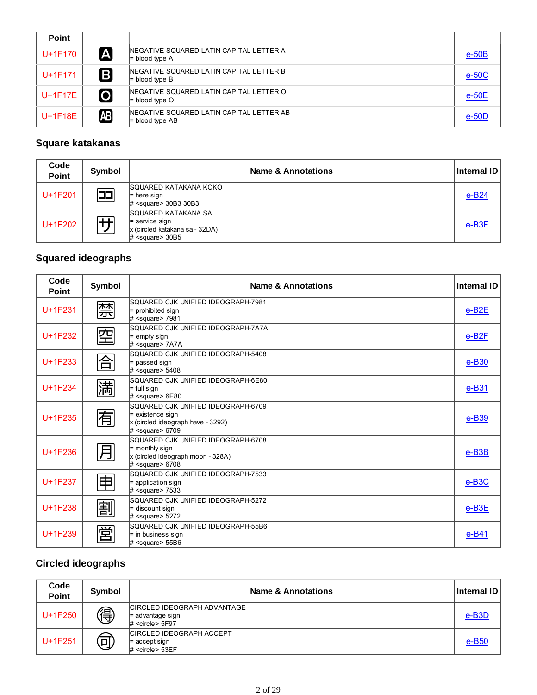| <b>Point</b> |                         |                                                                     |          |
|--------------|-------------------------|---------------------------------------------------------------------|----------|
| U+1F170      | [A                      | NEGATIVE SQUARED LATIN CAPITAL LETTER A<br>$=$ blood type A         | $e-50B$  |
| $U + 1F171$  | B                       | NEGATIVE SQUARED LATIN CAPITAL LETTER B<br>$=$ blood type B         | $e-50C$  |
| $U+1F17E$    | $\overline{\mathbf{o}}$ | INEGATIVE SQUARED LATIN CAPITAL LETTER O<br>$=$ blood type O        | $e-50E$  |
| $U+1F18E$    | Æ                       | INEGATIVE SQUARED LATIN CAPITAL LETTER AB<br>$\equiv$ blood type AB | $e$ -50D |

### **Square katakanas**

| Code<br>Point | Symbol    | <b>Name &amp; Annotations</b>                                                                            | <b>Internal ID</b> |
|---------------|-----------|----------------------------------------------------------------------------------------------------------|--------------------|
| $U+1F201$     | <b>PE</b> | SQUARED KATAKANA KOKO<br>$=$ here sign<br>$\#$ <square> 30B3 30B3</square>                               | $e-B24$            |
| U+1F202       | - 1       | SQUARED KATAKANA SA<br>$=$ service sign<br>x (circled katakana sa - 32DA)<br>$\#$ <square> 30B5</square> | e-B <sub>3</sub> F |

# **Squared ideographs**

| Code<br><b>Point</b> | Symbol | <b>Name &amp; Annotations</b>                                                                                              | <b>Internal ID</b>      |
|----------------------|--------|----------------------------------------------------------------------------------------------------------------------------|-------------------------|
| $U+1F231$            | 禁      | SQUARED CJK UNIFIED IDEOGRAPH-7981<br>$=$ prohibited sign<br>$\#$ <square> 7981</square>                                   | $e$ -B <sub>2</sub> $E$ |
| $U+1F232$            | 空      | SQUARED CJK UNIFIED IDEOGRAPH-7A7A<br>$=$ empty sign<br>$#$ <square> 7A7A</square>                                         | $e$ -B <sub>2</sub> $F$ |
| $U+1F233$            | 合      | SQUARED CJK UNIFIED IDEOGRAPH-5408<br>= passed sign<br>$\#$ <square> 5408</square>                                         | $e$ -B <sub>30</sub>    |
| U+1F234              | 満      | SQUARED CJK UNIFIED IDEOGRAPH-6E80<br>$=$ full sign<br>$\#$ <square> 6E80</square>                                         | $e$ -B31                |
| $U+1F235$            | 有      | SQUARED CJK UNIFIED IDEOGRAPH-6709<br>= existence sign<br>x (circled ideograph have - 3292)<br>$\#$ <square> 6709</square> | e-B39                   |
| U+1F236              | 月      | SQUARED CJK UNIFIED IDEOGRAPH-6708<br>$=$ monthly sign<br>x (circled ideograph moon - 328A)<br>$\#$ <square> 6708</square> | $e$ -B <sub>3</sub> B   |
| $U+1F237$            | 申      | SQUARED CJK UNIFIED IDEOGRAPH-7533<br>$=$ application sign<br>$\#$ <square> 7533</square>                                  | $e$ -B <sub>3</sub> C   |
| $U+1F238$            | 割      | SQUARED CJK UNIFIED IDEOGRAPH-5272<br>$=$ discount sign<br>$\#$ <square> 5272</square>                                     | e-B3E                   |
| $U+1F239$            | 営      | SQUARED CJK UNIFIED IDEOGRAPH-55B6<br>= in business sign<br>$\#$ <square> 55B6</square>                                    | $e-B41$                 |

### **Circled ideographs**

| Code<br><b>Point</b> | Symbol | <b>Name &amp; Annotations</b>                                                     | Internal ID        |
|----------------------|--------|-----------------------------------------------------------------------------------|--------------------|
| U+1F250              | 得      | CIRCLED IDEOGRAPH ADVANTAGE<br>$=$ advantage sign<br>$\#$ <circle> 5F97</circle>  | e-B <sub>3</sub> D |
| $U+1F251$            | リ      | <b>CIRCLED IDEOGRAPH ACCEPT</b><br>$=$ accept sign<br>$\#$ <circle> 53EF</circle> | e-B50              |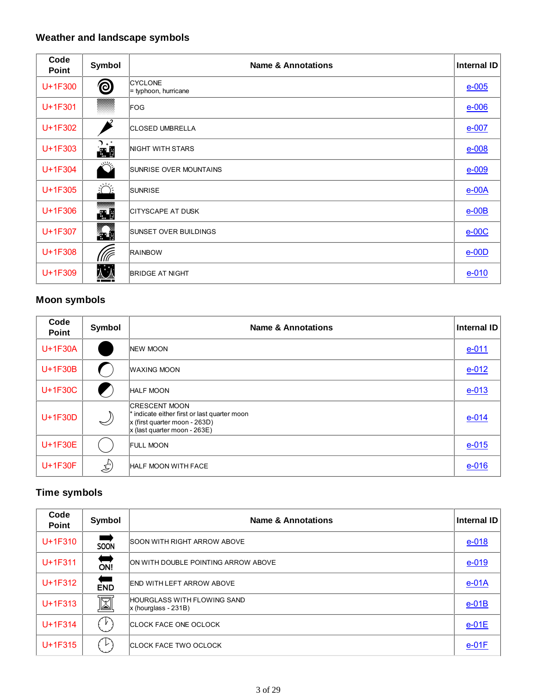# **Weather and landscape symbols**

| Code<br>Point | Symbol           | <b>Name &amp; Annotations</b>          | Internal ID |
|---------------|------------------|----------------------------------------|-------------|
| U+1F300       | <b>©</b>         | <b>CYCLONE</b><br>= typhoon, hurricane | $e-005$     |
| U+1F301       |                  | FOG                                    | $e-006$     |
| U+1F302       |                  | <b>CLOSED UMBRELLA</b>                 | $e$ -007    |
| U+1F303       | า ∗*<br>لي.      | NIGHT WITH STARS                       | $e$ -008    |
| U+1F304       |                  | <b>SUNRISE OVER MOUNTAINS</b>          | $e-009$     |
| $U+1F305$     | $\sum_{i=1}^{n}$ | <b>SUNRISE</b>                         | $e$ -00 $A$ |
| U+1F306       | æ                | <b>CITYSCAPE AT DUSK</b>               | $e$ -00 $B$ |
| U+1F307       | n                | <b>SUNSET OVER BUILDINGS</b>           | $e$ -00 $C$ |
| U+1F308       | (((F             | <b>RAINBOW</b>                         | $e$ -00D    |
| U+1F309       |                  | <b>BRIDGE AT NIGHT</b>                 | $e - 010$   |

#### **Moon symbols**

| Code<br><b>Point</b> | Symbol | <b>Name &amp; Annotations</b>                                                                                                             | <b>Internal ID</b> |
|----------------------|--------|-------------------------------------------------------------------------------------------------------------------------------------------|--------------------|
| U+1F30A              |        | <b>NEW MOON</b>                                                                                                                           | $e - 011$          |
| U+1F30B              |        | <b>WAXING MOON</b>                                                                                                                        | $e-012$            |
| U+1F30C              |        | <b>HALF MOON</b>                                                                                                                          | $e - 013$          |
| U+1F30D              | $\sim$ | <b>CRESCENT MOON</b><br>* indicate either first or last quarter moon<br>$x$ (first quarter moon - 263D)<br>$x$ (last quarter moon - 263E) | $e - 014$          |
| U+1F30E              |        | <b>FULL MOON</b>                                                                                                                          | $e - 015$          |
| U+1F30F              | (پکج   | <b>HALF MOON WITH FACE</b>                                                                                                                | $e-016$            |

# **Time symbols**

| Code<br><b>Point</b> | Symbol                | <b>Name &amp; Annotations</b>                                | Internal ID |
|----------------------|-----------------------|--------------------------------------------------------------|-------------|
| $U+1F310$            | SOON                  | <b>SOON WITH RIGHT ARROW ABOVE</b>                           | $e - 018$   |
| U+1F311              | $\sum_{n=1}^{\infty}$ | ON WITH DOUBLE POINTING ARROW ABOVE                          | $e - 019$   |
| $U+1F312$            | ⇔<br>END              | END WITH LEFT ARROW ABOVE                                    | $e$ -01A    |
| $U+1F313$            | <u>M</u>              | <b>HOURGLASS WITH FLOWING SAND</b><br>$x$ (hourglass - 231B) | $e-01B$     |
| U+1F314              | $\cdot$ $\mathsf{v}$  | <b>CLOCK FACE ONE OCLOCK</b>                                 | $e-01E$     |
| U+1F315              | レ                     | <b>CLOCK FACE TWO OCLOCK</b>                                 | $e-01F$     |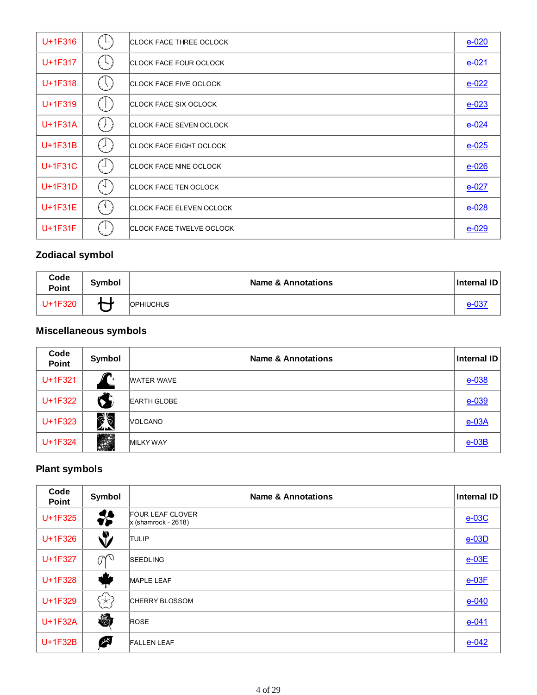| U+1F316   | $\vdash$                                      | <b>CLOCK FACE THREE OCLOCK</b>  | $e-020$   |
|-----------|-----------------------------------------------|---------------------------------|-----------|
| U+1F317   | $\vdash$ $\vdash$ $\vdash$                    | <b>CLOCK FACE FOUR OCLOCK</b>   | $e - 021$ |
| U+1F318   | $\left( \begin{array}{c} \end{array} \right)$ | <b>CLOCK FACE FIVE OCLOCK</b>   | $e-022$   |
| U+1F319   | ţł.                                           | <b>CLOCK FACE SIX OCLOCK</b>    | $e - 023$ |
| $U+1F31A$ | (丿                                            | <b>CLOCK FACE SEVEN OCLOCK</b>  | $e - 024$ |
| U+1F31B   | $\overline{(\ }$                              | <b>CLOCK FACE EIGHT OCLOCK</b>  | $e - 025$ |
| U+1F31C   | $\cdot$ $\rightarrow$                         | <b>CLOCK FACE NINE OCLOCK</b>   | $e - 026$ |
| U+1F31D   | f -l                                          | <b>CLOCK FACE TEN OCLOCK</b>    | $e-027$   |
| U+1F31E   | EN.                                           | <b>CLOCK FACE ELEVEN OCLOCK</b> | $e - 028$ |
| U+1F31F   |                                               | <b>CLOCK FACE TWELVE OCLOCK</b> | $e - 029$ |

### **Zodiacal symbol**

| Code<br>Point | Symbol                   | <b>Name &amp; Annotations</b> | <b>Internal ID</b> |
|---------------|--------------------------|-------------------------------|--------------------|
| U+1F320       | $\overline{\phantom{a}}$ | <b>OPHIUCHUS</b>              | $e - 03$           |

# **Miscellaneous symbols**

| Code<br>Point | Symbol                  | <b>Name &amp; Annotations</b> | Internal ID |
|---------------|-------------------------|-------------------------------|-------------|
| U+1F321       | −                       | <b>WATER WAVE</b>             | $e - 038$   |
| U+1F322       | Q                       | <b>EARTH GLOBE</b>            | $e - 039$   |
| U+1F323       | <b>75</b><br>$\sqrt{N}$ | <b>VOLCANO</b>                | $e$ -03A    |
| U+1F324       |                         | <b>MILKY WAY</b>              | $e$ -03B    |

### **Plant symbols**

| Code<br><b>Point</b> | Symbol                    | <b>Name &amp; Annotations</b>                    | <b>Internal ID</b> |
|----------------------|---------------------------|--------------------------------------------------|--------------------|
| U+1F325              | ₩                         | <b>FOUR LEAF CLOVER</b><br>$x$ (shamrock - 2618) | $e-03C$            |
| U+1F326              | V                         | <b>TULIP</b>                                     | $e$ -03D           |
| U+1F327              | $\mathbb{C}^{\mathbb{C}}$ | <b>SEEDLING</b>                                  | $e-03E$            |
| U+1F328              |                           | <b>MAPLE LEAF</b>                                | $e$ -03 $E$        |
| U+1F329              | i≭,                       | <b>CHERRY BLOSSOM</b>                            | $e - 040$          |
| U+1F32A              | $\bigcirc$                | <b>ROSE</b>                                      | $e - 041$          |
| U+1F32B              | 冷                         | <b>FALLEN LEAF</b>                               | $e - 042$          |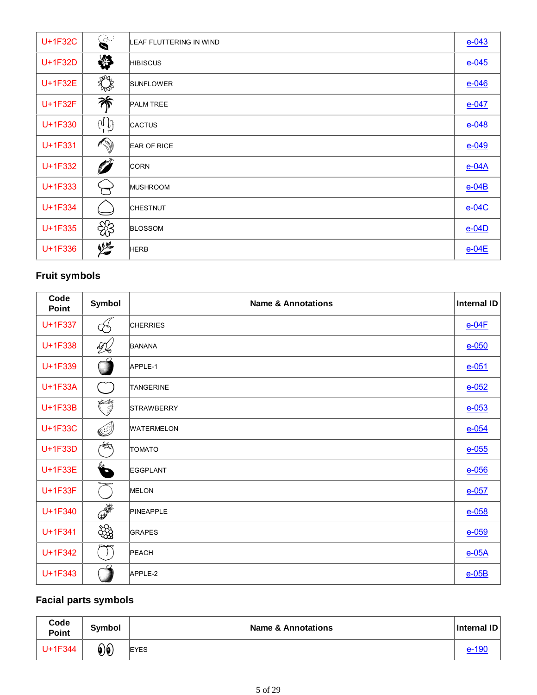| U+1F32C |    | LEAF FLUTTERING IN WIND | $e - 043$   |
|---------|----|-------------------------|-------------|
| U+1F32D | ₩  | <b>HIBISCUS</b>         | $e - 045$   |
| U+1F32E | RA | <b>SUNFLOWER</b>        | $e - 046$   |
| U+1F32F | 浠  | <b>PALM TREE</b>        | $e-047$     |
| U+1F330 | dď | <b>CACTUS</b>           | $e - 048$   |
| U+1F331 |    | <b>EAR OF RICE</b>      | $e - 049$   |
| U+1F332 | Ø  | <b>CORN</b>             | $e$ -04 $A$ |
| U+1F333 |    | MUSHROOM                | $e$ -04B    |
| U+1F334 |    | <b>CHESTNUT</b>         | $e-04C$     |
| U+1F335 | සි | <b>BLOSSOM</b>          | $e-04D$     |
| U+1F336 | 烂  | <b>HERB</b>             | $e-04E$     |

### **Fruit symbols**

| Code<br>Point | Symbol                                         | <b>Name &amp; Annotations</b> | <b>Internal ID</b> |
|---------------|------------------------------------------------|-------------------------------|--------------------|
| U+1F337       |                                                | <b>CHERRIES</b>               | $e-04F$            |
| U+1F338       | 吸                                              | <b>BANANA</b>                 | $e - 050$          |
| U+1F339       |                                                | APPLE-1                       | $e - 051$          |
| U+1F33A       | $\begin{pmatrix} 1 & 1 \\ 1 & 1 \end{pmatrix}$ | <b>TANGERINE</b>              | $e-052$            |
| U+1F33B       | Õ                                              | <b>STRAWBERRY</b>             | $e - 053$          |
| U+1F33C       | Ø                                              | <b>WATERMELON</b>             | $e - 054$          |
| U+1F33D       | <b>ART</b>                                     | <b>TOMATO</b>                 | $e - 055$          |
| U+1F33E       | $\bullet$                                      | EGGPLANT                      | $e-056$            |
| U+1F33F       |                                                | MELON                         | $e-057$            |
| U+1F340       |                                                | PINEAPPLE                     | $e - 058$          |
| U+1F341       | දිසි                                           | GRAPES                        | $e - 059$          |
| U+1F342       | $\bigcup$                                      | PEACH                         | $e$ -05A           |
| U+1F343       |                                                | APPLE-2                       | $e$ -05B           |

# **Facial parts symbols**

| Code<br><b>Point</b> | <b>Symbol</b>     | <b>Name &amp; Annotations</b> | <b>Internal ID</b> |
|----------------------|-------------------|-------------------------------|--------------------|
| U+1F344              | $\mathbf{\Theta}$ | <b>EYES</b>                   | e-190              |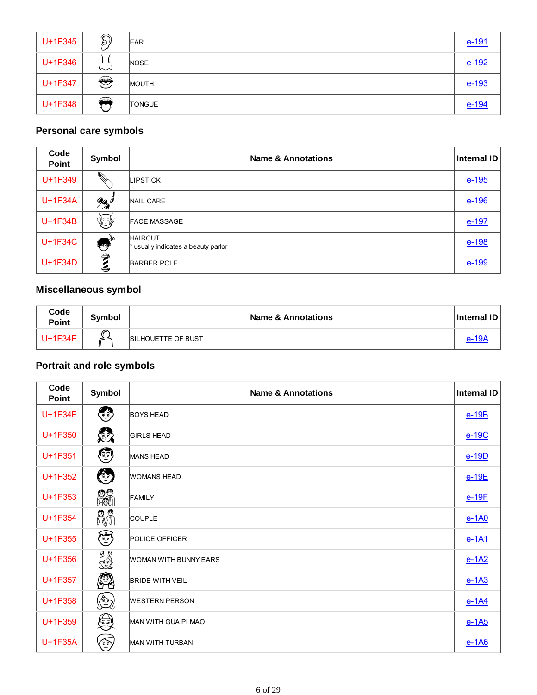| U+1F345 | $\sqrt{2}$<br>Q | <b>EAR</b>    | $e-191$ |
|---------|-----------------|---------------|---------|
| U+1F346 | (پ)             | <b>NOSE</b>   | $e-192$ |
| U+1F347 | ◈               | <b>MOUTH</b>  | $e-193$ |
| U+1F348 | <b>COLOR</b>    | <b>TONGUE</b> | $e-194$ |

#### **Personal care symbols**

| Code<br>Point | Symbol                                                                                                                                                                                                                               | <b>Name &amp; Annotations</b>                         | Internal ID |
|---------------|--------------------------------------------------------------------------------------------------------------------------------------------------------------------------------------------------------------------------------------|-------------------------------------------------------|-------------|
| U+1F349       | <b>Contract Contract Contract Contract Contract Contract Contract Contract Contract Contract Contract Contract Contract Contract Contract Contract Contract Contract Contract Contract Contract Contract Contract Contract Contr</b> | LIPSTICK                                              | $e-195$     |
| U+1F34A       | $\frac{9}{2}$                                                                                                                                                                                                                        | <b>NAIL CARE</b>                                      | $e-196$     |
| U+1F34B       | 经                                                                                                                                                                                                                                    | <b>FACE MASSAGE</b>                                   | $e-197$     |
| U+1F34C       | أوديتها                                                                                                                                                                                                                              | <b>HAIRCUT</b><br>* usually indicates a beauty parlor | $e-198$     |
| U+1F34D       | ₹<br>3                                                                                                                                                                                                                               | <b>BARBER POLE</b>                                    | $e-199$     |

#### **Miscellaneous symbol**

| Code<br><b>Point</b> | Symbol | <b>Name &amp; Annotations</b> | Internal ID |
|----------------------|--------|-------------------------------|-------------|
| $U+1F34E$            |        | <b>ISILHOUETTE OF BUST</b>    |             |

### **Portrait and role symbols**

| Code<br>Point | Symbol                             | <b>Name &amp; Annotations</b> | <b>Internal ID</b> |
|---------------|------------------------------------|-------------------------------|--------------------|
| U+1F34F       | $\left\langle \cdot \right\rangle$ | <b>BOYS HEAD</b>              | $e-19B$            |
| U+1F350       | 戀                                  | <b>GIRLS HEAD</b>             | $e-19C$            |
| U+1F351       | $\odot$                            | <b>MANS HEAD</b>              | $e-19D$            |
| U+1F352       | $\odot$                            | <b>WOMANS HEAD</b>            | $e-19E$            |
| U+1F353       | 23                                 | FAMILY                        | $e-19F$            |
| U+1F354       | r⁄i                                | <b>COUPLE</b>                 | $e-1A0$            |
| U+1F355       | ٣                                  | <b>POLICE OFFICER</b>         | $e-1A1$            |
| U+1F356       | A                                  | <b>WOMAN WITH BUNNY EARS</b>  | $e-1A2$            |
| U+1F357       | ß2                                 | <b>BRIDE WITH VEIL</b>        | $e-1A3$            |
| U+1F358       | ٤                                  | <b>WESTERN PERSON</b>         | $e-1A4$            |
| U+1F359       | €                                  | MAN WITH GUA PI MAO           | $e-1A5$            |
| U+1F35A       | ١                                  | <b>MAN WITH TURBAN</b>        | $e-1A6$            |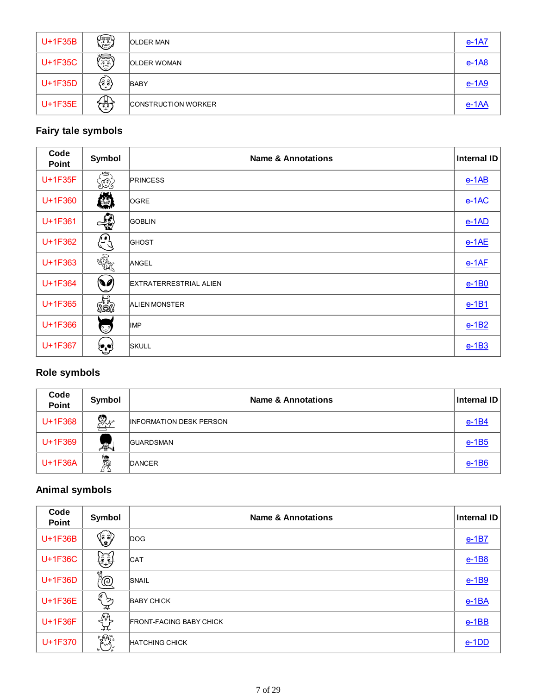| U+1F35B | ١                          | <b>OLDER MAN</b>           | $e-1A7$ |
|---------|----------------------------|----------------------------|---------|
| U+1F35C | ٢                          | <b>OLDER WOMAN</b>         | $e-1A8$ |
| U+1F35D | (နဲ့နဲ)                    | <b>BABY</b>                | $e-1A9$ |
| U+1F35E | $\left(\frac{1}{2}\right)$ | <b>CONSTRUCTION WORKER</b> | $e-1AA$ |

#### **Fairy tale symbols**

| Code<br>Point | Symbol                                                       | <b>Name &amp; Annotations</b> | <b>Internal ID</b> |
|---------------|--------------------------------------------------------------|-------------------------------|--------------------|
| U+1F35F       | SEG                                                          | <b>PRINCESS</b>               | $e-1AB$            |
| U+1F360       | 爋                                                            | <b>OGRE</b>                   | $e-1AC$            |
| U+1F361       | $\rightarrow$                                                | <b>GOBLIN</b>                 | $e-1AD$            |
| U+1F362       | (مون<br>ر                                                    | <b>GHOST</b>                  | $e-1AE$            |
| U+1F363       | SA                                                           | ANGEL                         | $e-1AF$            |
| U+1F364       | $\left(\begin{matrix} \bullet & \bullet \end{matrix}\right)$ | <b>EXTRATERRESTRIAL ALIEN</b> | $e-1B0$            |
| U+1F365       | eri<br>Siag                                                  | <b>ALIEN MONSTER</b>          | $e-1B1$            |
| U+1F366       | Ç                                                            | <b>IMP</b>                    | $e-1B2$            |
| U+1F367       | كويا                                                         | <b>SKULL</b>                  | $e-1B3$            |

#### **Role symbols**

| Code<br>Point | Symbol   | <b>Name &amp; Annotations</b>  | Internal ID |
|---------------|----------|--------------------------------|-------------|
| U+1F368       | <u>Q</u> | <b>INFORMATION DESK PERSON</b> | $e-1B4$     |
| U+1F369       | 忍        | <b>GUARDSMAN</b>               | $e-1B5$     |
| $U+1F36A$     | Ã        | DANCER                         | $e-1B6$     |

# **Animal symbols**

| Code<br><b>Point</b> | Symbol                                                                                                      | <b>Name &amp; Annotations</b>  | <b>Internal ID</b> |
|----------------------|-------------------------------------------------------------------------------------------------------------|--------------------------------|--------------------|
| U+1F36B              | $\left(\begin{matrix} \widehat{\widehat{\mathsf{s}}}\ \widehat{\mathsf{s}}\ \mathsf{g} \end{matrix}\right)$ | DOG                            | $e-1B7$            |
| U+1F36C              | EJ                                                                                                          | <b>CAT</b>                     | $e-1B8$            |
| U+1F36D              | $\overline{\mathbb{P}}$                                                                                     | SNAIL                          | $e-1B9$            |
| U+1F36E              | $\left\{\begin{matrix} \widehat{\mathbf{e}} \\ \mathbf{e} \end{matrix}\right\}$<br>⋥                        | <b>BABY CHICK</b>              | $e-1BA$            |
| U+1F36F              | <b>SAL</b>                                                                                                  | <b>FRONT-FACING BABY CHICK</b> | $e-1BB$            |
| U+1F370              | $\mathbb{R}^3$                                                                                              | <b>HATCHING CHICK</b>          | $e-1DD$            |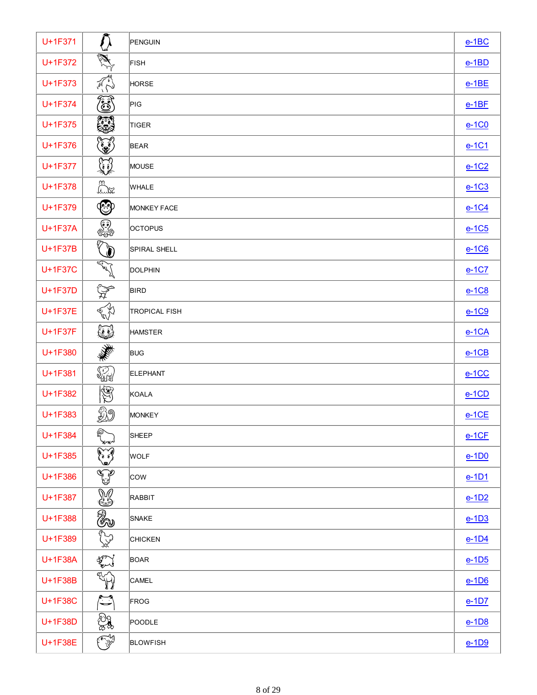| U+1F371        |                                                                                                                                                                                                                                                                                                                                                                             | PENGUIN              | $e-1BC$ |
|----------------|-----------------------------------------------------------------------------------------------------------------------------------------------------------------------------------------------------------------------------------------------------------------------------------------------------------------------------------------------------------------------------|----------------------|---------|
| U+1F372        | A                                                                                                                                                                                                                                                                                                                                                                           | <b>FISH</b>          | $e-1BD$ |
| U+1F373        | $\mathbb{Z}$                                                                                                                                                                                                                                                                                                                                                                | HORSE                | $e-1BE$ |
| U+1F374        | ۵                                                                                                                                                                                                                                                                                                                                                                           | PIG                  | $e-1BF$ |
| U+1F375        | 纂                                                                                                                                                                                                                                                                                                                                                                           | TIGER                | $e-1C0$ |
| U+1F376        | ١                                                                                                                                                                                                                                                                                                                                                                           | <b>BEAR</b>          | $e-1C1$ |
| U+1F377        | <b>A</b>                                                                                                                                                                                                                                                                                                                                                                    | MOUSE                | $e-1C2$ |
| U+1F378        | Link                                                                                                                                                                                                                                                                                                                                                                        | <b>WHALE</b>         | $e-1C3$ |
| U+1F379        | $\bm{\mathbb{G}}$                                                                                                                                                                                                                                                                                                                                                           | <b>MONKEY FACE</b>   | $e-1C4$ |
| <b>U+1F37A</b> | $\overline{\mathbb{C}^2}$                                                                                                                                                                                                                                                                                                                                                   | <b>OCTOPUS</b>       | $e-1C5$ |
| U+1F37B        | $\bar{\mathbb{Q}}$                                                                                                                                                                                                                                                                                                                                                          | SPIRAL SHELL         | $e-1C6$ |
| U+1F37C        | <b>Contract of the Contract of The Contract of The Contract of The Contract of The Contract of The Contract of T</b>                                                                                                                                                                                                                                                        | DOLPHIN              | $e-1C7$ |
| U+1F37D        | $\mathbb{R}$                                                                                                                                                                                                                                                                                                                                                                | <b>BIRD</b>          | $e-1C8$ |
| U+1F37E        | AV                                                                                                                                                                                                                                                                                                                                                                          | <b>TROPICAL FISH</b> | $e-1C9$ |
| U+1F37F        | ₩                                                                                                                                                                                                                                                                                                                                                                           | <b>HAMSTER</b>       | $e-1CA$ |
| U+1F380        | 美学                                                                                                                                                                                                                                                                                                                                                                          | <b>BUG</b>           | $e-1CB$ |
| U+1F381        | <b>SA</b>                                                                                                                                                                                                                                                                                                                                                                   | <b>ELEPHANT</b>      | $e-1CC$ |
| U+1F382        | $\circledS$                                                                                                                                                                                                                                                                                                                                                                 | KOALA                | $e-1CD$ |
| U+1F383        | Ø9                                                                                                                                                                                                                                                                                                                                                                          | MONKEY               | $e-1CE$ |
| U+1F384        | @<br>لنهيريه                                                                                                                                                                                                                                                                                                                                                                | SHEEP                | $e-1CF$ |
| U+1F385        | <b>Company</b>                                                                                                                                                                                                                                                                                                                                                              | WOLF                 | $e-1D0$ |
| U+1F386        | منتهج                                                                                                                                                                                                                                                                                                                                                                       | <b>COW</b>           | $e-1D1$ |
| U+1F387        | ¥                                                                                                                                                                                                                                                                                                                                                                           | RABBIT               | $e-1D2$ |
| U+1F388        | 0                                                                                                                                                                                                                                                                                                                                                                           | SNAKE                | $e-1D3$ |
| U+1F389        | er<br>V                                                                                                                                                                                                                                                                                                                                                                     | <b>CHICKEN</b>       | $e-1D4$ |
| U+1F38A        | $\begin{picture}(220,20) \put(0,0){\vector(1,0){10}} \put(15,0){\vector(1,0){10}} \put(15,0){\vector(1,0){10}} \put(15,0){\vector(1,0){10}} \put(15,0){\vector(1,0){10}} \put(15,0){\vector(1,0){10}} \put(15,0){\vector(1,0){10}} \put(15,0){\vector(1,0){10}} \put(15,0){\vector(1,0){10}} \put(15,0){\vector(1,0){10}} \put(15,0){\vector(1,0){10}} \put(15,0){\vector($ | <b>BOAR</b>          | $e-1D5$ |
| U+1F38B        | W                                                                                                                                                                                                                                                                                                                                                                           | <b>CAMEL</b>         | $e-1D6$ |
| U+1F38C        | $\sum_{i=1}^{\infty}$                                                                                                                                                                                                                                                                                                                                                       | FROG                 | $e-1D7$ |
| U+1F38D        | S.                                                                                                                                                                                                                                                                                                                                                                          | POODLE               | $e-1D8$ |
| U+1F38E        | ٢                                                                                                                                                                                                                                                                                                                                                                           | <b>BLOWFISH</b>      | $e-1D9$ |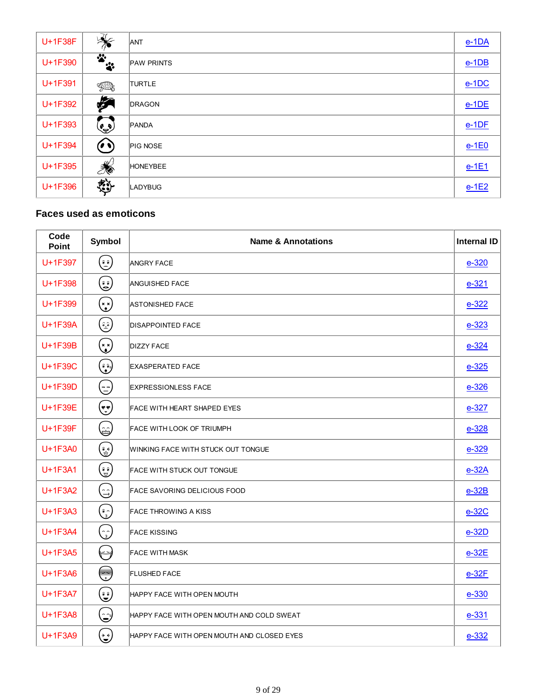| U+1F38F | ※                                    | ANT               | $e-1DA$ |
|---------|--------------------------------------|-------------------|---------|
| U+1F390 | $\ddot{\bullet}$<br>$\ddot{\ddot{}}$ | <b>PAW PRINTS</b> | $e-1DB$ |
| U+1F391 | HR,                                  | <b>TURTLE</b>     | $e-1DC$ |
| U+1F392 | F                                    | <b>DRAGON</b>     | $e-1DE$ |
| U+1F393 | $\overline{\mathbb{C}}$              | PANDA             | $e-1DF$ |
| U+1F394 | $($ ( $\bullet$ $\bullet$ $)$        | PIG NOSE          | $e-1E0$ |
| U+1F395 | R                                    | <b>HONEYBEE</b>   | $e-1E1$ |
| U+1F396 | <b>Externe</b>                       | <b>LADYBUG</b>    | $e-1E2$ |

#### **Faces used as emoticons**

| Code<br><b>Point</b> | Symbol                                                                           | <b>Name &amp; Annotations</b>              | <b>Internal ID</b> |
|----------------------|----------------------------------------------------------------------------------|--------------------------------------------|--------------------|
| U+1F397              | کی)                                                                              | <b>ANGRY FACE</b>                          | $e - 320$          |
| U+1F398              | کی کا                                                                            | <b>ANGUISHED FACE</b>                      | $e - 321$          |
| U+1F399              | (* *)                                                                            | <b>ASTONISHED FACE</b>                     | $e-322$            |
| U+1F39A              | ن<br>ف                                                                           | <b>DISAPPOINTED FACE</b>                   | $e - 323$          |
| U+1F39B              | (پہ)                                                                             | <b>DIZZY FACE</b>                          | $e - 324$          |
| U+1F39C              | (وَفَعَ)                                                                         | <b>EXASPERATED FACE</b>                    | $e - 325$          |
| U+1F39D              | (پ                                                                               | <b>EXPRESSIONLESS FACE</b>                 | $e - 326$          |
| U+1F39E              | (وه)                                                                             | FACE WITH HEART SHAPED EYES                | $e-327$            |
| U+1F39F              | (پ                                                                               | <b>FACE WITH LOOK OF TRIUMPH</b>           | $e - 328$          |
| U+1F3A0              | (پی                                                                              | WINKING FACE WITH STUCK OUT TONGUE         | $e - 329$          |
| U+1F3A1              | (چَ                                                                              | <b>FACE WITH STUCK OUT TONGUE</b>          | $e-32A$            |
| U+1F3A2              | (ت                                                                               | <b>FACE SAVORING DELICIOUS FOOD</b>        | $e-32B$            |
| U+1F3A3              | $\left(\begin{smallmatrix} \hat{\bullet} \ \hat{\circ} \end{smallmatrix}\right)$ | <b>FACE THROWING A KISS</b>                | $e-32C$            |
| U+1F3A4              | $\binom{2}{3}$                                                                   | <b>FACE KISSING</b>                        | $e-32D$            |
| U+1F3A5              | $\leftrightarrow$                                                                | <b>FACE WITH MASK</b>                      | $e-32E$            |
| U+1F3A6              | U                                                                                | <b>FLUSHED FACE</b>                        | $e-32F$            |
| U+1F3A7              | کی)                                                                              | HAPPY FACE WITH OPEN MOUTH                 | $e - 330$          |
| U+1F3A8              | ڪا                                                                               | HAPPY FACE WITH OPEN MOUTH AND COLD SWEAT  | $e - 331$          |
| U+1F3A9              | کچ)                                                                              | HAPPY FACE WITH OPEN MOUTH AND CLOSED EYES | $e - 332$          |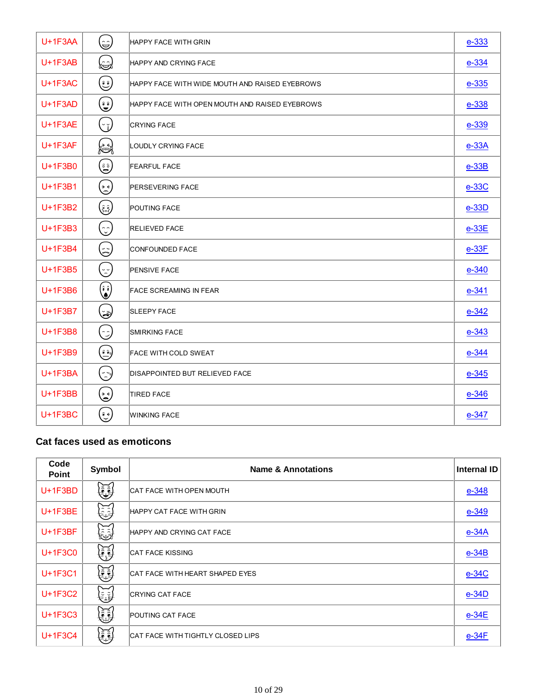| $U+1F3AA$      | نگا                                                                | HAPPY FACE WITH GRIN                           | $e - 333$    |
|----------------|--------------------------------------------------------------------|------------------------------------------------|--------------|
| $U+1F3AB$      | كمخطأ                                                              | HAPPY AND CRYING FACE                          | $e - 334$    |
| $U+1F3AC$      | ڭ)                                                                 | HAPPY FACE WITH WIDE MOUTH AND RAISED EYEBROWS | $e - 335$    |
| $U+1F3AD$      | کی)                                                                | HAPPY FACE WITH OPEN MOUTH AND RAISED EYEBROWS | $e - 338$    |
| $U+1F3AE$      | $(\cdot_{\breve{b}})$                                              | <b>CRYING FACE</b>                             | $e - 339$    |
| $U+1F3AF$      | <b>(25)</b>                                                        | <b>LOUDLY CRYING FACE</b>                      | $e-33A$      |
| $U+1F3B0$      | (ڨ)                                                                | <b>FEARFUL FACE</b>                            | $e-33B$      |
| $U+1F3B1$      | $(\mathring{\mathscr{E}})$                                         | <b>PERSEVERING FACE</b>                        | $e-33C$      |
| U+1F3B2        | (چَعْ)                                                             | <b>POUTING FACE</b>                            | $e-33D$      |
| U+1F3B3        | (ئ                                                                 | <b>RELIEVED FACE</b>                           | $e-33E$      |
| $U+1F3B4$      | (پینا                                                              | <b>CONFOUNDED FACE</b>                         | $e-33F$      |
| U+1F3B5        | (رس)                                                               | <b>PENSIVE FACE</b>                            | $e - 340$    |
| $U+1F3B6$      | $\begin{pmatrix} \hat{\bm{\epsilon}} \\ \bm{\delta} \end{pmatrix}$ | <b>FACE SCREAMING IN FEAR</b>                  | $e - 341$    |
| $U+1F3B7$      | کچکا                                                               | <b>SLEEPY FACE</b>                             | $e - 342$    |
| U+1F3B8        | .<br>لي                                                            | <b>SMIRKING FACE</b>                           | $e - 343$    |
| U+1F3B9        | (وَعَ)                                                             | <b>FACE WITH COLD SWEAT</b>                    | $e - 344$    |
| <b>U+1F3BA</b> | $(\gtrsim)$                                                        | DISAPPOINTED BUT RELIEVED FACE                 | $e - 345$    |
| $U+1F3BB$      | $(\mathring{\mathcal{E}})$                                         | <b>TIRED FACE</b>                              | $e - 346$    |
| $U+1F3BC$      | کچ)                                                                | <b>WINKING FACE</b>                            | <u>e-347</u> |

### **Cat faces used as emoticons**

| Code<br><b>Point</b> | <b>Symbol</b> | <b>Name &amp; Annotations</b>            | <b>Internal ID</b> |
|----------------------|---------------|------------------------------------------|--------------------|
| $U+1F3BD$            | ٤             | CAT FACE WITH OPEN MOUTH                 | $e - 348$          |
| $U+1F3BE$            | じ             | <b>HAPPY CAT FACE WITH GRIN</b>          | $e - 349$          |
| $U+1F3BF$            | に、<br>極       | HAPPY AND CRYING CAT FACE                | $e-34A$            |
| U+1F3C0              | EJ<br>E       | <b>CAT FACE KISSING</b>                  | $e-34B$            |
| U+1F3C1              | E)            | CAT FACE WITH HEART SHAPED EYES          | $e-34C$            |
| U+1F3C2              | ر<br>لوچيا    | <b>CRYING CAT FACE</b>                   | $e-34D$            |
| U+1F3C3              | EJ            | <b>POUTING CAT FACE</b>                  | $e-34E$            |
| U+1F3C4              | E)            | <b>CAT FACE WITH TIGHTLY CLOSED LIPS</b> | $e-34F$            |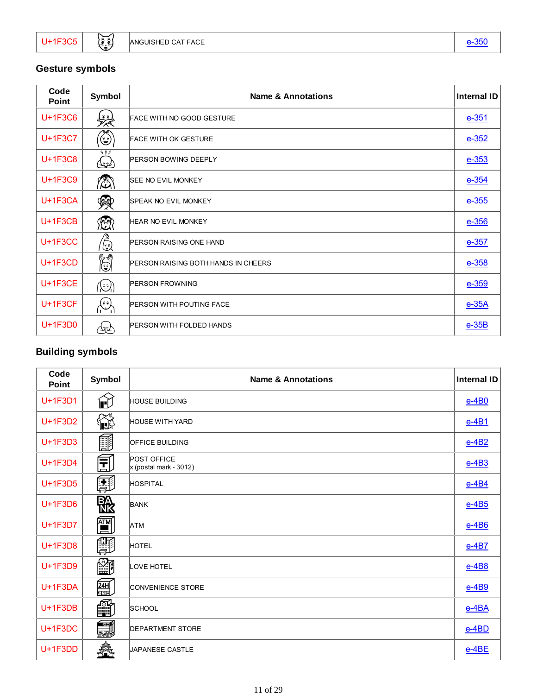### **Gesture symbols**

| Code<br><b>Point</b> | Symbol                                                                 | <b>Name &amp; Annotations</b>              | <b>Internal ID</b> |
|----------------------|------------------------------------------------------------------------|--------------------------------------------|--------------------|
| U+1F3C6              | لمپر<br>مجر                                                            | <b>FACE WITH NO GOOD GESTURE</b>           | $e - 351$          |
| U+1F3C7              | ٥                                                                      | <b>FACE WITH OK GESTURE</b>                | $e - 352$          |
| U+1F3C8              | $\vee$ $\vee$<br>৻৻ৼৄৣ                                                 | <b>PERSON BOWING DEEPLY</b>                | $e - 353$          |
| U+1F3C9              | <b>A</b>                                                               | <b>SEE NO EVIL MONKEY</b>                  | $e - 354$          |
| $U+1F3CA$            | 쪷                                                                      | <b>SPEAK NO EVIL MONKEY</b>                | $e - 355$          |
| $U+1F3CB$            | 總                                                                      | <b>HEAR NO EVIL MONKEY</b>                 | $e - 356$          |
| $U+1F3CC$            | ۞                                                                      | <b>PERSON RAISING ONE HAND</b>             | $e - 357$          |
| $U+1F3CD$            | H                                                                      | <b>PERSON RAISING BOTH HANDS IN CHEERS</b> | $e - 358$          |
| $U+1F3CE$            | $(\mathcal{C})$                                                        | <b>PERSON FROWNING</b>                     | $e - 359$          |
| $U+1F3CF$            | $\left\langle \begin{matrix} \cdot & \cdot \end{matrix} \right\rangle$ | <b>PERSON WITH POUTING FACE</b>            | $e-35A$            |
| $U+1F3D0$            | 氹                                                                      | <b>PERSON WITH FOLDED HANDS</b>            | $e-35B$            |

### **Building symbols**

| Code<br><b>Point</b> | Symbol                 | <b>Name &amp; Annotations</b>           | <b>Internal ID</b> |
|----------------------|------------------------|-----------------------------------------|--------------------|
| U+1F3D1              | $\mathbf{\widehat{E}}$ | <b>HOUSE BUILDING</b>                   | $e-4B0$            |
| U+1F3D2              | €€                     | <b>HOUSE WITH YARD</b>                  | $e-4B1$            |
| U+1F3D3              | 甂                      | <b>OFFICE BUILDING</b>                  | $e-4B2$            |
| $U+1F3D4$            | 旵                      | POST OFFICE<br>$x$ (postal mark - 3012) | $e-4B3$            |
| U+1F3D5              | 團                      | HOSPITAL                                | $e-4B4$            |
| U+1F3D6              | 骰                      | <b>BANK</b>                             | $e-4B5$            |
| U+1F3D7              | 的                      | <b>ATM</b>                              | $e-4B6$            |
| U+1F3D8              | F                      | HOTEL                                   | $e-4B7$            |
| U+1F3D9              | <b>R</b>               | LOVE HOTEL                              | $e-4B8$            |
| U+1F3DA              | 饂                      | <b>CONVENIENCE STORE</b>                | $e-4B9$            |
| $U+1F3DB$            | ▦                      | SCHOOL                                  | $e$ -4BA           |
| $U+1F3DC$            | <b>EN</b>              | <b>DEPARTMENT STORE</b>                 | $e$ -4BD           |
| $U+1F3DD$            | â.                     | JAPANESE CASTLE                         | e-4BE              |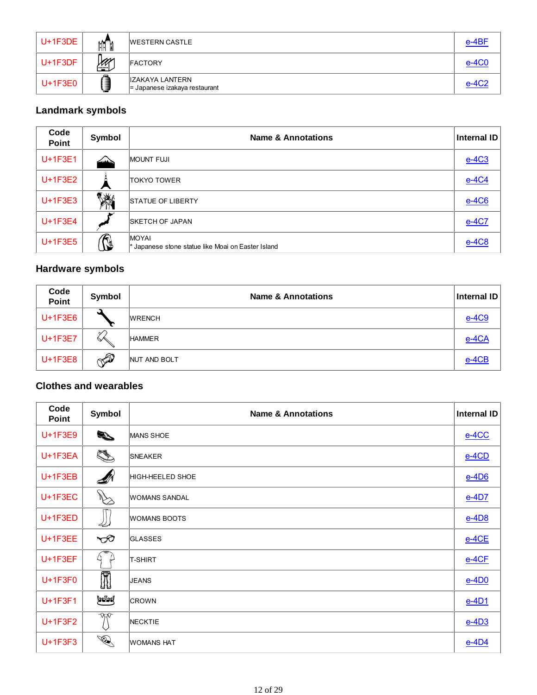| $U+1F3DE$ | $M^{\cap}$   | <b>WESTERN CASTLE</b>                              | e-4BF |
|-----------|--------------|----------------------------------------------------|-------|
| $U+1F3DF$ | $\mathbb{Z}$ | <b>FACTORY</b>                                     | e-4C0 |
| $U+1F3E0$ |              | IZAKAYA LANTERN<br>$=$ Japanese izakaya restaurant | e-4C2 |

### **Landmark symbols**

| Code<br><b>Point</b> | Symbol    | <b>Name &amp; Annotations</b>                                      | <b>Internal ID</b> |
|----------------------|-----------|--------------------------------------------------------------------|--------------------|
| $U+1F3E1$            | duais     | <b>MOUNT FUJI</b>                                                  | $e-4C3$            |
| $U+1F3E2$            |           | <b>TOKYO TOWER</b>                                                 | $e-4C4$            |
| $U+1F3E3$            | <b>YA</b> | <b>STATUE OF LIBERTY</b>                                           | $e-4C6$            |
| $U+1F3E4$            |           | <b>SKETCH OF JAPAN</b>                                             | e-4C7              |
| $U+1F3E5$            | ß         | <b>MOYAL</b><br>* Japanese stone statue like Moai on Easter Island | $e-4C8$            |

### **Hardware symbols**

| <b>Code</b><br>Point | Symbol       | <b>Name &amp; Annotations</b> | Internal ID |
|----------------------|--------------|-------------------------------|-------------|
| U+1F3E6              |              | <b>WRENCH</b>                 | e-4C9       |
| U+1F3E7              | ✓<br>$\sim$  | <b>HAMMER</b>                 | e-4CA       |
| $U+1F3E8$            | $\mathbb{Z}$ | NUT AND BOLT                  | $e-4CB$     |

#### **Clothes and wearables**

| Code<br>Point | Symbol           | <b>Name &amp; Annotations</b> | <b>Internal ID</b> |
|---------------|------------------|-------------------------------|--------------------|
| U+1F3E9       | $\mathbb{Z}$     | MANS SHOE                     | $e-4CC$            |
| $U+1F3EA$     | <b>RE</b>        | <b>SNEAKER</b>                | $e-4CD$            |
| $U+1F3EB$     | N                | HIGH-HEELED SHOE              | $e-4D6$            |
| U+1F3EC       | $\mathbb{Z}$     | <b>WOMANS SANDAL</b>          | $e-4D7$            |
| $U+1F3ED$     | 4                | <b>WOMANS BOOTS</b>           | $e-4D8$            |
| $U+1F3EE$     | $\bigcirc$       | <b>GLASSES</b>                | $e-4CE$            |
| $U+1F3EF$     | L.               | <b>T-SHIRT</b>                | $e-4CF$            |
| U+1F3F0       | Ī                | <b>JEANS</b>                  | $e-4D0$            |
| U+1F3F1       | لتذيينا          | <b>CROWN</b>                  | $e-4D1$            |
| U+1F3F2       | $\gamma_{\rm N}$ | <b>NECKTIE</b>                | $e-4D3$            |
| U+1F3F3       | <b>RES</b>       | <b>WOMANS HAT</b>             | $e$ -4D4           |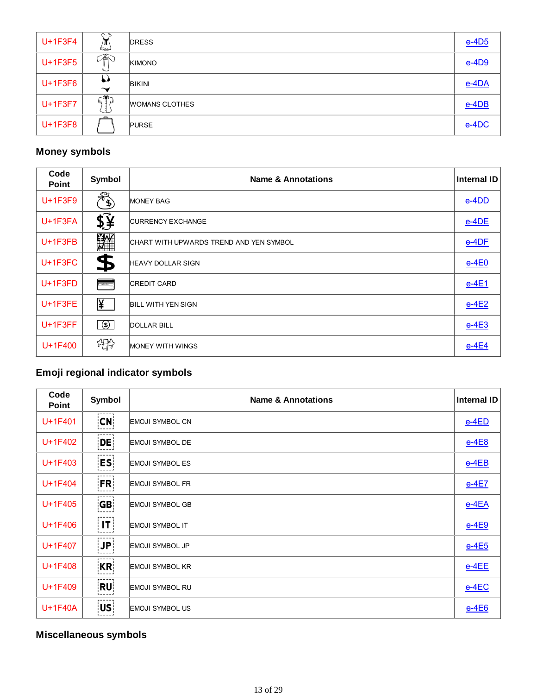| U+1F3F4   | بہ<br>/π<br>⇔               | <b>DRESS</b>          | $e-4D5$  |
|-----------|-----------------------------|-----------------------|----------|
| $U+1F3F5$ | 厣                           | KIMONO                | $e-4D9$  |
| $U+1F3F6$ | رم<br>$\tilde{\phantom{a}}$ | <b>BIKINI</b>         | $e$ -4DA |
| U+1F3F7   | —ฒ—                         | <b>WOMANS CLOTHES</b> | e-4DB    |
| $U+1F3F8$ |                             | <b>PURSE</b>          | e-4DC    |

### **Money symbols**

| Code<br><b>Point</b> | Symbol                    | <b>Name &amp; Annotations</b>           | Internal ID |
|----------------------|---------------------------|-----------------------------------------|-------------|
| $U+1F3F9$            | $\mathscr{F}_{\clubsuit}$ | <b>MONEY BAG</b>                        | $e$ -4DD    |
| U+1F3FA              | \$į̃                      | <b>CURRENCY EXCHANGE</b>                | $e-4DE$     |
| $U+1F3FB$            | W.                        | CHART WITH UPWARDS TREND AND YEN SYMBOL | $e-4DF$     |
| U+1F3FC              | \$                        | <b>HEAVY DOLLAR SIGN</b>                | $e-4E0$     |
| $U+1F3FD$            | أسمعت                     | <b>CREDIT CARD</b>                      | $e-4E1$     |
| U+1F3FE              | ¥                         | <b>BILL WITH YEN SIGN</b>               | $e-4E2$     |
| $U+1F3FF$            | $\sqrt{3}$                | <b>DOLLAR BILL</b>                      | $e-4E3$     |
| U+1F400              | 楊                         | MONEY WITH WINGS                        | $e-4E4$     |

### **Emoji regional indicator symbols**

| Code<br><b>Point</b> | Symbol             | <b>Name &amp; Annotations</b> | <b>Internal ID</b> |
|----------------------|--------------------|-------------------------------|--------------------|
| $U+1F401$            | CN                 | <b>EMOJI SYMBOL CN</b>        | $e-4ED$            |
| U+1F402              | DE                 | <b>EMOJI SYMBOL DE</b>        | $e-4E8$            |
| $U+1F403$            | ES                 | <b>EMOJI SYMBOL ES</b>        | $e-4EB$            |
| U+1F404              | <b>FR</b>          | <b>EMOJI SYMBOL FR</b>        | $e-4E7$            |
| U+1F405              | GE                 | <b>EMOJI SYMBOL GB</b>        | $e-4EA$            |
| U+1F406              | $\vert$ IT $\vert$ | <b>EMOJI SYMBOL IT</b>        | $e-4E9$            |
| $U+1F407$            | JP                 | <b>EMOJI SYMBOL JP</b>        | $e-4E5$            |
| U+1F408              | KR                 | <b>EMOJI SYMBOL KR</b>        | $e-4EE$            |
| U+1F409              | RU                 | <b>EMOJI SYMBOL RU</b>        | $e-4EC$            |
| U+1F40A              | US.                | <b>EMOJI SYMBOL US</b>        | $e-4E6$            |

# **Miscellaneous symbols**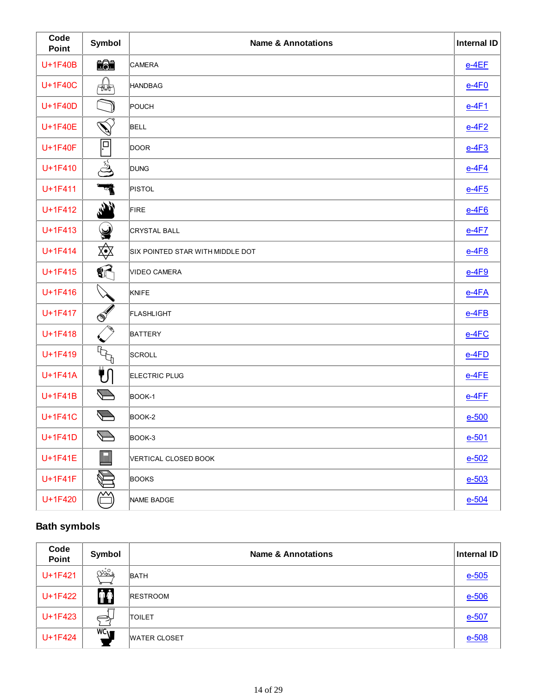| Code<br>Point | Symbol                                                                                                                                                                                                                                                                                                                                              | <b>Name &amp; Annotations</b>    | <b>Internal ID</b> |
|---------------|-----------------------------------------------------------------------------------------------------------------------------------------------------------------------------------------------------------------------------------------------------------------------------------------------------------------------------------------------------|----------------------------------|--------------------|
| U+1F40B       | 【注                                                                                                                                                                                                                                                                                                                                                  | CAMERA                           | $e-4EF$            |
| U+1F40C       | Huth                                                                                                                                                                                                                                                                                                                                                | <b>HANDBAG</b>                   | $e-4F0$            |
| U+1F40D       |                                                                                                                                                                                                                                                                                                                                                     | POUCH                            | <u>e-4F1</u>       |
| U+1F40E       | V)                                                                                                                                                                                                                                                                                                                                                  | <b>BELL</b>                      | $e-4F2$            |
| U+1F40F       | ļ⊐                                                                                                                                                                                                                                                                                                                                                  | <b>DOOR</b>                      | $e-4F3$            |
| U+1F410       | ුදු                                                                                                                                                                                                                                                                                                                                                 | <b>DUNG</b>                      | $e-4F4$            |
| U+1F411       | प                                                                                                                                                                                                                                                                                                                                                   | <b>PISTOL</b>                    | $e-4F5$            |
| U+1F412       | $\mathbf{r}$                                                                                                                                                                                                                                                                                                                                        | <b>FIRE</b>                      | $e-4F6$            |
| U+1F413       | 9                                                                                                                                                                                                                                                                                                                                                   | <b>CRYSTAL BALL</b>              | $e-4F7$            |
| U+1F414       | 效                                                                                                                                                                                                                                                                                                                                                   | SIX POINTED STAR WITH MIDDLE DOT | $e-4F8$            |
| U+1F415       | $\mathbf{C}$                                                                                                                                                                                                                                                                                                                                        | <b>VIDEO CAMERA</b>              | $e-4F9$            |
| U+1F416       |                                                                                                                                                                                                                                                                                                                                                     | KNIFE                            | $e-4FA$            |
| U+1F417       | $\mathscr{F}$                                                                                                                                                                                                                                                                                                                                       | FLASHLIGHT                       | $e-4FB$            |
| U+1F418       |                                                                                                                                                                                                                                                                                                                                                     | <b>BATTERY</b>                   | $e-4FC$            |
| U+1F419       | $\begin{picture}(20,20) \put(0,0){\line(1,0){10}} \put(15,0){\line(1,0){10}} \put(15,0){\line(1,0){10}} \put(15,0){\line(1,0){10}} \put(15,0){\line(1,0){10}} \put(15,0){\line(1,0){10}} \put(15,0){\line(1,0){10}} \put(15,0){\line(1,0){10}} \put(15,0){\line(1,0){10}} \put(15,0){\line(1,0){10}} \put(15,0){\line(1,0){10}} \put(15,0){\line(1$ | SCROLL                           | $e-4FD$            |
| U+1F41A       | ₹ſ                                                                                                                                                                                                                                                                                                                                                  | <b>ELECTRIC PLUG</b>             | $e-4FE$            |
| U+1F41B       | $\overline{\phantom{a}}$                                                                                                                                                                                                                                                                                                                            | BOOK-1                           | $e-4FE$            |
| U+1F41C       | ╰                                                                                                                                                                                                                                                                                                                                                   | BOOK-2                           | e-500              |
| U+1F41D       | $\sum$                                                                                                                                                                                                                                                                                                                                              | BOOK-3                           | $e - 501$          |
| U+1F41E       | <b>I</b>                                                                                                                                                                                                                                                                                                                                            | VERTICAL CLOSED BOOK             | $e - 502$          |
| U+1F41F       |                                                                                                                                                                                                                                                                                                                                                     | <b>BOOKS</b>                     | $e - 503$          |
| U+1F420       |                                                                                                                                                                                                                                                                                                                                                     | NAME BADGE                       | $e - 504$          |

#### **Bath symbols**

| Code<br>Point | Symbol          | <b>Name &amp; Annotations</b> | Internal ID |
|---------------|-----------------|-------------------------------|-------------|
| U+1F421       | ೧ುನ್            | <b>BATH</b>                   | $e - 505$   |
| U+1F422       | <b>∲Ŷ</b>       | <b>RESTROOM</b>               | $e-506$     |
| U+1F423       | $\Rightarrow$   | <b>TOILET</b>                 | $e-507$     |
| U+1F424       | $WC_{\text{M}}$ | <b>WATER CLOSET</b>           | $e-508$     |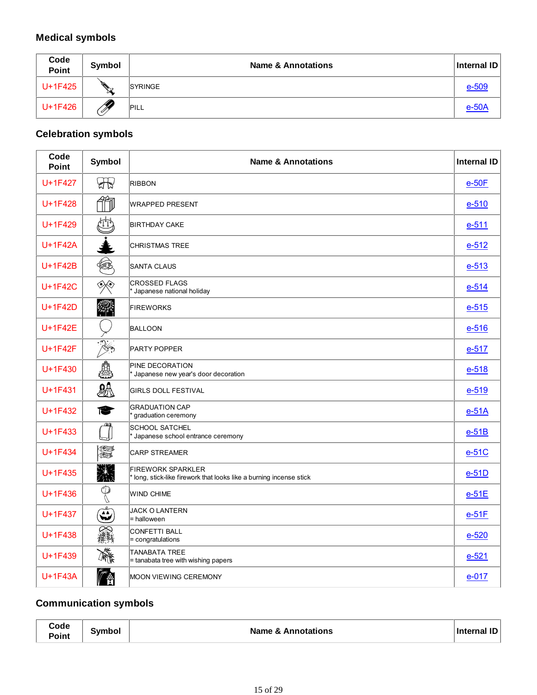# **Medical symbols**

| Code<br>Point | Symbol   | <b>Name &amp; Annotations</b> | Internal ID |
|---------------|----------|-------------------------------|-------------|
| U+1F425       | g I<br>₩ | SYRINGE                       | e-509       |
| U+1F426       | . F      | <b>PILL</b>                   | $e-50A$     |

### **Celebration symbols**

| Code<br>Point | Symbol                                         | <b>Name &amp; Annotations</b>                                                                   | <b>Internal ID</b> |
|---------------|------------------------------------------------|-------------------------------------------------------------------------------------------------|--------------------|
| U+1F427       | $\bigoplus$                                    | <b>RIBBON</b>                                                                                   | $e-50F$            |
| U+1F428       |                                                | <b>WRAPPED PRESENT</b>                                                                          | $e-510$            |
| U+1F429       |                                                | <b>BIRTHDAY CAKE</b>                                                                            | $e-511$            |
| U+1F42A       |                                                | <b>CHRISTMAS TREE</b>                                                                           | $e-512$            |
| U+1F42B       | 4                                              | <b>SANTA CLAUS</b>                                                                              | $e-513$            |
| U+1F42C       | ◈                                              | <b>CROSSED FLAGS</b><br>* Japanese national holiday                                             | $e-514$            |
| U+1F42D       |                                                | <b>FIREWORKS</b>                                                                                | $e-515$            |
| U+1F42E       |                                                | <b>BALLOON</b>                                                                                  | $e - 516$          |
| U+1F42F       | $\mathbb{X}$                                   | PARTY POPPER                                                                                    | $e-517$            |
| U+1F430       |                                                | PINE DECORATION<br>Japanese new year's door decoration                                          | $e-518$            |
| U+1F431       | $\partial\!\!\!\!\!\partial\!\!\!\!\!\partial$ | <b>GIRLS DOLL FESTIVAL</b>                                                                      | $e-519$            |
| U+1F432       | €                                              | <b>GRADUATION CAP</b><br>graduation ceremony                                                    | $e-51A$            |
| U+1F433       |                                                | <b>SCHOOL SATCHEL</b><br>Uapanese school entrance ceremony                                      | $e-51B$            |
| U+1F434       | non.<br>Nor                                    | <b>CARP STREAMER</b>                                                                            | $e-51C$            |
| $U+1F435$     | SWA                                            | <b>FIREWORK SPARKLER</b><br>* long, stick-like firework that looks like a burning incense stick | $e-51D$            |
| U+1F436       | $\mathbb{O}$                                   | <b>WIND CHIME</b>                                                                               | $e-51E$            |
| U+1F437       | $\mathbf{\widetilde{\omega}}$                  | <b>JACK O LANTERN</b><br>= halloween                                                            | $e-51F$            |
| U+1F438       | <b>Compa</b>                                   | <b>CONFETTI BALL</b><br>= congratulations                                                       | $e-520$            |
| U+1F439       | 灤                                              | <b>TANABATA TREE</b><br>= tanabata tree with wishing papers                                     | $e-521$            |
| U+1F43A       |                                                | MOON VIEWING CEREMONY                                                                           | $e-017$            |

# **Communication symbols**

| Code  |        |                               |                    |
|-------|--------|-------------------------------|--------------------|
| Point | Symbol | <b>Name &amp; Annotations</b> | <b>Internal ID</b> |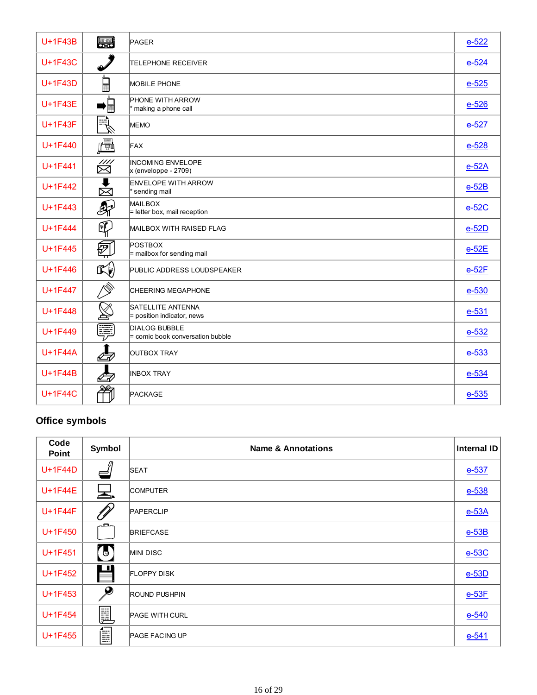| U+1F43B        | 888-8888                | PAGER                                                      | $e-522$   |
|----------------|-------------------------|------------------------------------------------------------|-----------|
| U+1F43C        |                         | <b>TELEPHONE RECEIVER</b>                                  | $e - 524$ |
| U+1F43D        | $\blacksquare$          | <b>MOBILE PHONE</b>                                        | $e-525$   |
| U+1F43E        | 眉                       | PHONE WITH ARROW<br>* making a phone call                  | $e - 526$ |
| U+1F43F        | $ \exists \}$           | <b>MEMO</b>                                                | $e-527$   |
| U+1F440        | i ei                    | FAX                                                        | $e-528$   |
| $U+1F441$      | $\mathbb{Z}^{\check{}}$ | <b>INCOMING ENVELOPE</b><br>$x$ (enveloppe - 2709)         | $e-52A$   |
| U+1F442        | $\blacksquare$<br>囟     | <b>ENVELOPE WITH ARROW</b><br>* sending mail               | $e-52B$   |
| U+1F443        | $\mathcal{B}_{\vec{l}}$ | <b>MAILBOX</b><br>$=$ letter box, mail reception           | $e-52C$   |
| U+1F444        | ⊕                       | MAILBOX WITH RAISED FLAG                                   | $e-52D$   |
| U+1F445        | @                       | POSTBOX<br>= mailbox for sending mail                      | $e-52E$   |
| U+1F446        | $\mathbb{C}$            | PUBLIC ADDRESS LOUDSPEAKER                                 | $e-52F$   |
| U+1F447        | $\oslash$               | <b>CHEERING MEGAPHONE</b>                                  | e-530     |
| U+1F448        |                         | <b>SATELLITE ANTENNA</b><br>$=$ position indicator, news   | $e - 531$ |
| U+1F449        | Ę                       | <b>DIALOG BUBBLE</b><br>$=$ comic book conversation bubble | $e - 532$ |
| U+1F44A        |                         | <b>OUTBOX TRAY</b>                                         | e-533     |
| U+1F44B        |                         | <b>INBOX TRAY</b>                                          | $e - 534$ |
| <b>U+1F44C</b> |                         | PACKAGE                                                    | $e - 535$ |

### **Office symbols**

| Code<br><b>Point</b> | Symbol       | <b>Name &amp; Annotations</b> | <b>Internal ID</b> |
|----------------------|--------------|-------------------------------|--------------------|
| U+1F44D              |              | <b>SEAT</b>                   | $e - 537$          |
| U+1F44E              | 노            | <b>COMPUTER</b>               | $e - 538$          |
| U+1F44F              |              | PAPERCLIP                     | $e-53A$            |
| U+1F450              | c            | <b>BRIEFCASE</b>              | $e-53B$            |
| U+1F451              | $\sqrt{6}$   | <b>MINIDISC</b>               | $e-53C$            |
| U+1F452              | m            | <b>FLOPPY DISK</b>            | $e-53D$            |
| U+1F453              | $\mathcal P$ | <b>ROUND PUSHPIN</b>          | $e-53F$            |
| U+1F454              | þ            | <b>PAGE WITH CURL</b>         | $e - 540$          |
| $U+1F455$            | Ē            | <b>PAGE FACING UP</b>         | $e - 541$          |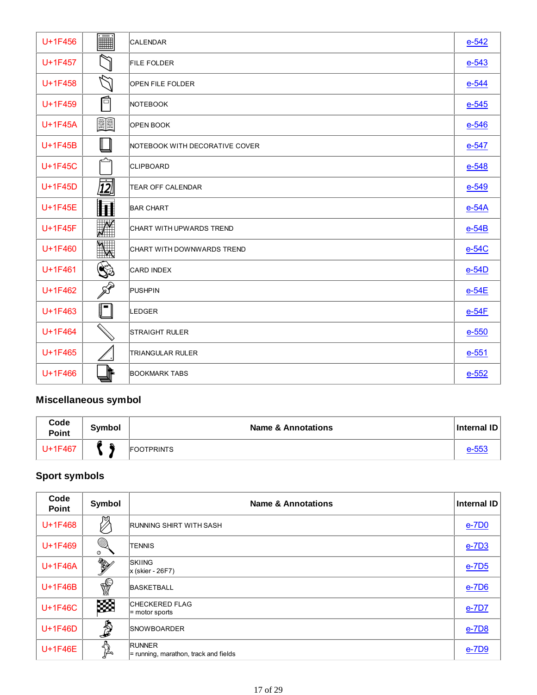| U+1F456   | iii                                                                                      | <b>CALENDAR</b>                | $e-542$   |
|-----------|------------------------------------------------------------------------------------------|--------------------------------|-----------|
| $U+1F457$ |                                                                                          | <b>FILE FOLDER</b>             | $e - 543$ |
| $U+1F458$ |                                                                                          | <b>OPEN FILE FOLDER</b>        | $e-544$   |
| U+1F459   | 后                                                                                        | NOTEBOOK                       | $e-545$   |
| $U+1F45A$ | EE                                                                                       | <b>OPEN BOOK</b>               | $e - 546$ |
| $U+1F45B$ |                                                                                          | NOTEBOOK WITH DECORATIVE COVER | $e-547$   |
| U+1F45C   |                                                                                          | <b>CLIPBOARD</b>               | $e - 548$ |
| $U+1F45D$ | $\overline{12}$                                                                          | <b>TEAR OFF CALENDAR</b>       | $e-549$   |
| $U+1F45E$ |                                                                                          | <b>BAR CHART</b>               | $e-54A$   |
| U+1F45F   | $\mathcal{N}$                                                                            | CHART WITH UPWARDS TREND       | $e-54B$   |
| U+1F460   |                                                                                          | CHART WITH DOWNWARDS TREND     | $e-54C$   |
| U+1F461   | ١                                                                                        | CARD INDEX                     | $e-54D$   |
| U+1F462   | $\mathscr{D}$                                                                            | PUSHPIN                        | $e-54E$   |
| U+1F463   | $\begin{array}{c} \begin{array}{c} \begin{array}{c} \end{array} \end{array} \end{array}$ | LEDGER                         | $e-54F$   |
| U+1F464   | $\mathbb{Q}$                                                                             | <b>STRAIGHT RULER</b>          | $e - 550$ |
| U+1F465   |                                                                                          | <b>TRIANGULAR RULER</b>        | $e - 551$ |
| U+1F466   |                                                                                          | <b>BOOKMARK TABS</b>           | $e - 552$ |

# **Miscellaneous symbol**

| Code<br><b>Point</b> | <b>Symbol</b> | <b>Name &amp; Annotations</b> | Internal ID |
|----------------------|---------------|-------------------------------|-------------|
| 1F467+ل              |               | <b>FOOTPRINTS</b>             | $e-55$      |

# **Sport symbols**

| Code<br><b>Point</b> | Symbol                 | <b>Name &amp; Annotations</b>                            | Internal ID  |
|----------------------|------------------------|----------------------------------------------------------|--------------|
| U+1F468              | 喣                      | RUNNING SHIRT WITH SASH                                  | $e$ -7D0     |
| U+1F469              | ▩<br>Ø                 | <b>TENNIS</b>                                            | $e$ -7D3     |
| U+1F46A              | <b>RANTAGE SERVICE</b> | <b>SKIING</b><br>$x$ (skier - 26F7)                      | <u>e-7D5</u> |
| U+1F46B              | ₩                      | <b>BASKETBALL</b>                                        | $e$ -7D6     |
| U+1F46C              | 缀                      | CHECKERED FLAG<br>= motor sports                         | $e$ -7D7     |
| U+1F46D              | <b>A</b>               | <b>SNOWBOARDER</b>                                       | e-7D8        |
| U+1F46E              | $\sum_{i=1}^{n}$       | <b>RUNNER</b><br>$=$ running, marathon, track and fields | $e$ -7D $9$  |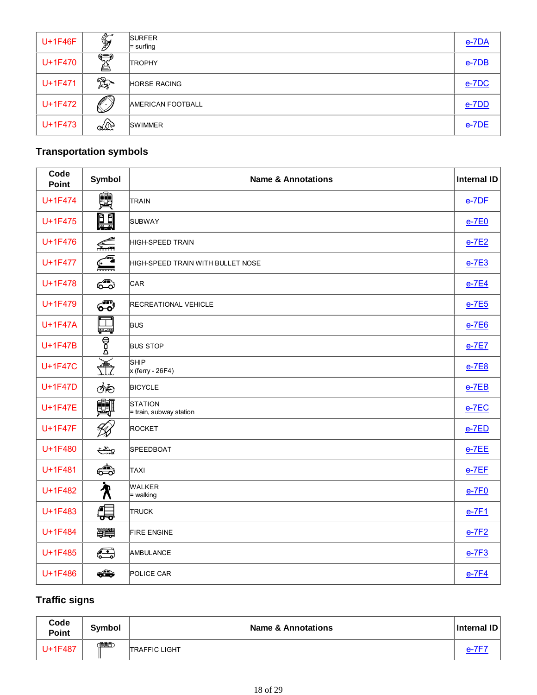| U+1F46F | $\mathbb{Z}$               | <b>SURFER</b><br>$=$ surfing | e-7DA    |
|---------|----------------------------|------------------------------|----------|
| U+1F470 | $\Longleftrightarrow$<br>ë | <b>TROPHY</b>                | $e$ -7DB |
| U+1F471 | 翔                          | <b>HORSE RACING</b>          | $e$ -7DC |
| U+1F472 |                            | <b>AMERICAN FOOTBALL</b>     | e-7DD    |
| U+1F473 | L                          | <b>SWIMMER</b>               | $e$ -7DE |

# **Transportation symbols**

| Code<br><b>Point</b> | Symbol       | <b>Name &amp; Annotations</b>             | <b>Internal ID</b> |
|----------------------|--------------|-------------------------------------------|--------------------|
| U+1F474              | ê            | <b>TRAIN</b>                              | $e$ -7DF           |
| U+1F475              | <u>e e</u>   | <b>SUBWAY</b>                             | $e-7E0$            |
| U+1F476              | £            | HIGH-SPEED TRAIN                          | $e-7E2$            |
| U+1F477              | $\mathbb{Z}$ | HIGH-SPEED TRAIN WITH BULLET NOSE         | $e$ -7E3           |
| U+1F478              | ෯            | CAR                                       | $e$ -7E4           |
| U+1F479              | 60           | <b>RECREATIONAL VEHICLE</b>               | $e$ -7E5           |
| <b>U+1F47A</b>       | Ħ<br>سے ک    | <b>BUS</b>                                | $e-7E6$            |
| U+1F47B              | —<br>В<br>Д  | <b>BUS STOP</b>                           | $e-7E7$            |
| <b>U+1F47C</b>       | 盖            | SHIP<br>$x$ (ferry - 26F4)                | $e-7E8$            |
| U+1F47D              |              | <b>BICYCLE</b>                            | $e$ -7EB           |
| U+1F47E              | 鄭            | <b>STATION</b><br>= train, subway station | $e$ -7EC           |
| U+1F47F              | 1X)          | <b>ROCKET</b>                             | $e$ -7ED           |
| U+1F480              | ويشيح        | <b>SPEEDBOAT</b>                          | $e$ -7EE           |
| U+1F481              | ⇔            | TAXI                                      | $e$ -7 $EF$        |
| U+1F482              | ⁄ለ           | <b>WALKER</b><br>= walking                | $e-7F0$            |
| U+1F483              | ∰            | <b>TRUCK</b>                              | $e-7F1$            |
| U+1F484              | <b>ANDS</b>  | <b>FIRE ENGINE</b>                        | $e-7F2$            |
| U+1F485              | G            | <b>AMBULANCE</b>                          | $e-7F3$            |
| U+1F486              | ⇔            | POLICE CAR                                | $e-7F4$            |

# **Traffic signs**

| Code<br><b>Point</b> | <b>Symbol</b> | <b>Name &amp; Annotations</b> | <b>Internal ID</b> |
|----------------------|---------------|-------------------------------|--------------------|
| U+1F487              | <b>COOC</b>   | <b>TRAFFIC LIGHT</b>          |                    |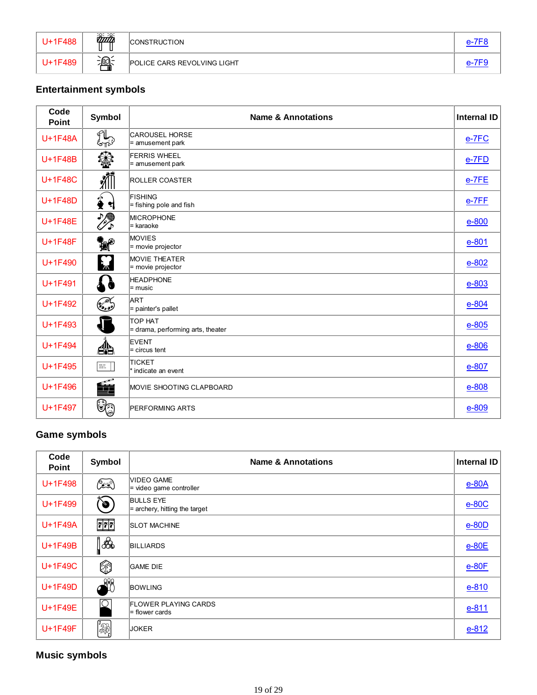| U+1F488 | $\overline{\widetilde{\mathit{unit}}}$ | <b>CONSTRUCTION</b>                | $e$ -7 $E$ 8 |
|---------|----------------------------------------|------------------------------------|--------------|
| U+1F489 | 瀹                                      | <b>POLICE CARS REVOLVING LIGHT</b> |              |

# **Entertainment symbols**

| Code<br><b>Point</b> | <b>Symbol</b>           | <b>Name &amp; Annotations</b>                | <b>Internal ID</b> |
|----------------------|-------------------------|----------------------------------------------|--------------------|
| U+1F48A              | $\mathbb{Z}$            | <b>CAROUSEL HORSE</b><br>= amusement park    | e-7FC              |
| U+1F48B              | ❀                       | <b>FERRIS WHEEL</b><br>= amusement park      | $e$ -7 $FD$        |
| U+1F48C              | 抓                       | <b>ROLLER COASTER</b>                        | $e-7FE$            |
| U+1F48D              | $\hat{\textbf{z}}$<br>H | FISHING<br>= fishing pole and fish           | $e$ -7FF           |
| $U+1F48E$            | ☆                       | <b>MICROPHONE</b><br>= karaoke               | $e-800$            |
| U+1F48F              | ₩,                      | <b>MOVIES</b><br>= movie projector           | $e - 801$          |
| U+1F490              | E                       | <b>MOVIE THEATER</b><br>$=$ movie projector  | $e - 802$          |
| U+1F491              | 79                      | <b>HEADPHONE</b><br>$=$ music                | $e - 803$          |
| U+1F492              | کی گھی                  | ART<br>= painter's pallet                    | $e - 804$          |
| U+1F493              |                         | TOP HAT<br>= drama, performing arts, theater | $e - 805$          |
| U+1F494              | æ                       | <b>EVENT</b><br>$=$ circus tent              | $e-806$            |
| U+1F495              | $\mathbb{R}$ .          | <b>TICKET</b><br>* indicate an event         | $e - 807$          |
| U+1F496              | é                       | MOVIE SHOOTING CLAPBOARD                     | e-808              |
| U+1F497              | Ûa                      | <b>PERFORMING ARTS</b>                       | $e - 809$          |

#### **Game symbols**

| Code<br>Point | Symbol                                                                                                                                                                                | <b>Name &amp; Annotations</b>                       | <b>Internal ID</b> |
|---------------|---------------------------------------------------------------------------------------------------------------------------------------------------------------------------------------|-----------------------------------------------------|--------------------|
| U+1F498       | ٦                                                                                                                                                                                     | <b>VIDEO GAME</b><br>$=$ video game controller      | $e$ -80 $A$        |
| U+1F499       | d                                                                                                                                                                                     | <b>BULLS EYE</b><br>$=$ archery, hitting the target | $e-80C$            |
| U+1F49A       | $\begin{array}{ c c c c }\n\hline\n\textbf{w} & \textbf{w} & \textbf{w} \\ \hline\n\textbf{f} & \textbf{f} & \textbf{f} \\ \hline\n\textbf{u} & \textbf{u} & \textbf{u}\n\end{array}$ | <b>SLOT MACHINE</b>                                 | $e$ -80D           |
| $U+1F49B$     | &                                                                                                                                                                                     | <b>BILLIARDS</b>                                    | $e-80E$            |
| U+1F49C       | ۲                                                                                                                                                                                     | <b>GAME DIE</b>                                     | $e-80F$            |
| U+1F49D       | off                                                                                                                                                                                   | <b>BOWLING</b>                                      | $e - 810$          |
| U+1F49E       | ⊺⊙                                                                                                                                                                                    | <b>FLOWER PLAYING CARDS</b><br>= flower cards       | $e - 811$          |
| U+1F49F       | <b>一彩</b>                                                                                                                                                                             | <b>JOKER</b>                                        | $e - 812$          |

### **Music symbols**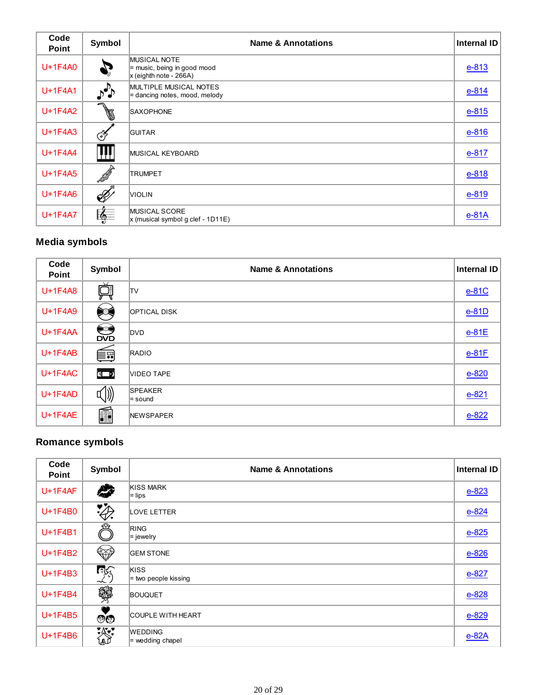| Code<br><b>Point</b> | Symbol                  | <b>Name &amp; Annotations</b>                                                    | <b>Internal ID</b> |
|----------------------|-------------------------|----------------------------------------------------------------------------------|--------------------|
| U+1F4A0              |                         | <b>MUSICAL NOTE</b><br>$=$ music, being in good mood<br>$x$ (eighth note - 266A) | $e - 813$          |
| U+1F4A1              | $\mathcal{L}^{\bullet}$ | <b>MULTIPLE MUSICAL NOTES</b><br>$=$ dancing notes, mood, melody                 | $e - 814$          |
| U+1F4A2              | I                       | <b>SAXOPHONE</b>                                                                 | $e - 815$          |
| U+1F4A3              | فلجيب                   | <b>GUITAR</b>                                                                    | $e - 816$          |
| U+1F4A4              | Ţμ                      | MUSICAL KEYBOARD                                                                 | $e - 817$          |
| $U+1F4A5$            | fS <sup>SS</sup>        | <b>TRUMPET</b>                                                                   | $e - 818$          |
| $U+1F4A6$            | B                       | <b>VIOLIN</b>                                                                    | $e - 819$          |
| $U+1F4A7$            | ।∛⊟                     | <b>MUSICAL SCORE</b><br>$x$ (musical symbol g clef - 1D11E)                      | $e-81A$            |

#### **Media symbols**

| Code<br><b>Point</b> | Symbol           | <b>Name &amp; Annotations</b> | <b>Internal ID</b> |
|----------------------|------------------|-------------------------------|--------------------|
| U+1F4A8              |                  | TV                            | $e-81C$            |
| U+1F4A9              | է                | <b>OPTICAL DISK</b>           | $e-81D$            |
| $U+1F4AA$            | <b>SS</b><br>DVD | <b>DVD</b>                    | $e-81E$            |
| $U+1F4AB$            | 튼리               | RADIO                         | $e-81F$            |
| $U+1F4AC$            | $\sqrt{2}$       | <b>VIDEO TAPE</b>             | $e - 820$          |
| $U+1F4AD$            | √))              | <b>SPEAKER</b><br>$=$ sound   | $e - 821$          |
| $U+1F4AE$            | Ó                | <b>NEWSPAPER</b>              | $e - 822$          |

### **Romance symbols**

| Code<br><b>Point</b> | Symbol               | <b>Name &amp; Annotations</b>        | Internal ID |
|----------------------|----------------------|--------------------------------------|-------------|
| $U+1F4AF$            | <b>AND STATE</b>     | <b>KISS MARK</b><br>$=$ lips         | $e - 823$   |
| U+1F4B0              | $\ddot{\mathscr{L}}$ | <b>LOVE LETTER</b>                   | $e - 824$   |
| U+1F4B1              | ₩                    | <b>RING</b><br>$=$ jewelry           | $e - 825$   |
| U+1F4B2              | ❤                    | <b>GEM STONE</b>                     | $e - 826$   |
| $U+1F4B3$            | িদ্                  | KISS<br>$=$ two people kissing       | $e - 827$   |
| $U+1F4B4$            | 爨                    | <b>BOUQUET</b>                       | $e - 828$   |
| U+1F4B5              | ීල                   | <b>COUPLE WITH HEART</b>             | $e - 829$   |
| $U+1F4B6$            | 漈                    | <b>WEDDING</b><br>$=$ wedding chapel | $e$ -82A    |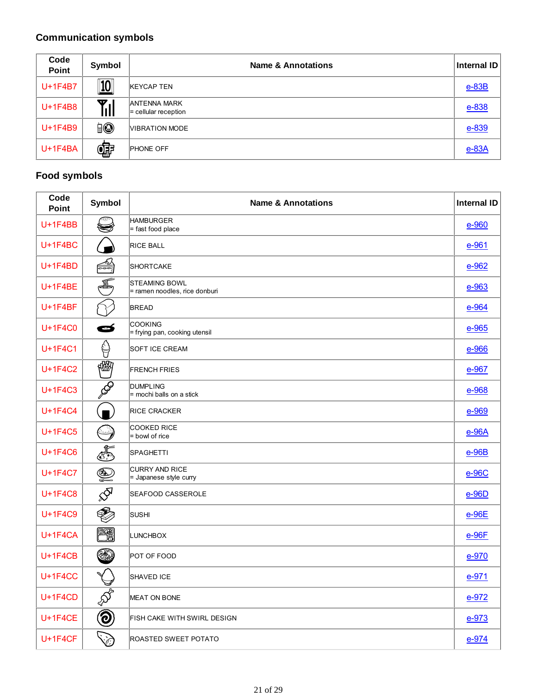# **Communication symbols**

| Code<br>Point | Symbol       | <b>Name &amp; Annotations</b>                 | <b>Internal ID</b> |
|---------------|--------------|-----------------------------------------------|--------------------|
| U+1F4B7       | $\boxed{10}$ | <b>KEYCAP TEN</b>                             | $e$ -83B           |
| U+1F4B8       | Till         | <b>ANTENNA MARK</b><br>$=$ cellular reception | $e - 838$          |
| U+1F4B9       | io           | VIBRATION MODE                                | $e - 839$          |
| $U+1F4BA$     | œ            | <b>PHONE OFF</b>                              | $e$ -83A           |

# **Food symbols**

| Code<br><b>Point</b> | Symbol                   | <b>Name &amp; Annotations</b>                         | <b>Internal ID</b> |
|----------------------|--------------------------|-------------------------------------------------------|--------------------|
| $U+1F4BB$            |                          | <b>HAMBURGER</b><br>$=$ fast food place               | $e - 960$          |
| $U+1F4BC$            |                          | <b>RICE BALL</b>                                      | $e - 961$          |
| $U+1F4BD$            | $\frac{1}{\sqrt{2}}$     | SHORTCAKE                                             | $e-962$            |
| $U+1F4BE$            | Æ                        | <b>STEAMING BOWL</b><br>= ramen noodles, rice donburi | $e - 963$          |
| $U+1F4BF$            |                          | <b>BREAD</b>                                          | e-964              |
| U+1F4C0              | Ø                        | <b>COOKING</b><br>= frying pan, cooking utensil       | $e - 965$          |
| <b>U+1F4C1</b>       | ₿                        | <b>SOFT ICE CREAM</b>                                 | e-966              |
| <b>U+1F4C2</b>       | 幗                        | <b>FRENCH FRIES</b>                                   | e-967              |
| U+1F4C3              | Q                        | <b>DUMPLING</b><br>= mochi balls on a stick           | e-968              |
| U+1F4C4              |                          | <b>RICE CRACKER</b>                                   | e-969              |
| U+1F4C5              | $(\lnot)$                | COOKED RICE<br>= bowl of rice                         | $e-96A$            |
| U+1F4C6              | E                        | SPAGHETTI                                             | $e-96B$            |
| U+1F4C7              | Q                        | <b>CURRY AND RICE</b><br>= Japanese style curry       | $e-96C$            |
| <b>U+1F4C8</b>       |                          | SEAFOOD CASSEROLE                                     | $e-96D$            |
| U+1F4C9              | Ç                        | <b>SUSHI</b>                                          | $e-96E$            |
| $U+1F4CA$            | eta<br>He                | LUNCHBOX                                              | $e-96F$            |
| $U+1F4CB$            | ٤                        | POT OF FOOD                                           | $e-970$            |
| <b>U+1F4CC</b>       | ৺                        | <b>SHAVED ICE</b>                                     | $e-971$            |
| $U+1F4CD$            | $\overline{\mathcal{S}}$ | MEAT ON BONE                                          | $e-972$            |
| $U+1F4CE$            | $\bigcircled{0}$         | FISH CAKE WITH SWIRL DESIGN                           | $e-973$            |
| $U+1F4CF$            | D                        | ROASTED SWEET POTATO                                  | $e-974$            |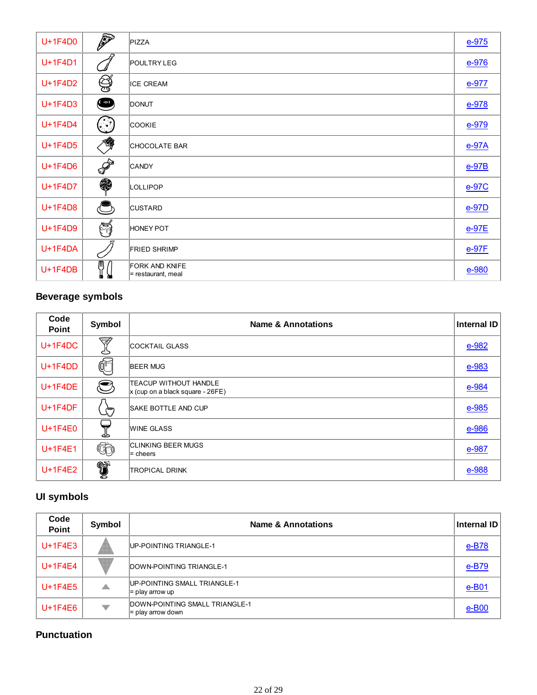| U+1F4D0   | P           | PIZZA                                       | $e-975$ |
|-----------|-------------|---------------------------------------------|---------|
| U+1F4D1   |             | <b>POULTRY LEG</b>                          | $e-976$ |
| U+1F4D2   | Ş           | <b>ICE CREAM</b>                            | $e-977$ |
| U+1F4D3   | $\bullet$   | <b>DONUT</b>                                | $e-978$ |
| U+1F4D4   | <u>(</u> ဴ. | <b>COOKIE</b>                               | $e-979$ |
| U+1F4D5   | 鹭           | CHOCOLATE BAR                               | $e-97A$ |
| U+1F4D6   | P           | <b>CANDY</b>                                | $e-97B$ |
| U+1F4D7   | \$          | LOLLIPOP                                    | e-97C   |
| U+1F4D8   | $\subset$   | <b>CUSTARD</b>                              | $e-97D$ |
| U+1F4D9   | H           | <b>HONEY POT</b>                            | $e-97E$ |
| $U+1F4DA$ |             | <b>FRIED SHRIMP</b>                         | $e-97F$ |
| $U+1F4DB$ | T           | <b>FORK AND KNIFE</b><br>= restaurant, meal | $e-980$ |

# **Beverage symbols**

| Code<br><b>Point</b> | Symbol     | <b>Name &amp; Annotations</b>                                      | <b>Internal ID</b> |
|----------------------|------------|--------------------------------------------------------------------|--------------------|
| $U+1F4DC$            | Ŵ<br>C)    | <b>COCKTAIL GLASS</b>                                              | $e - 982$          |
| $U+1F4DD$            | Œ          | <b>BEER MUG</b>                                                    | e-983              |
| $U+1F4DE$            | $\bigcirc$ | <b>TEACUP WITHOUT HANDLE</b><br>$x$ (cup on a black square - 26FE) | e-984              |
| $U+1F4DF$            | ⇐          | <b>SAKE BOTTLE AND CUP</b>                                         | $e - 985$          |
| $U+1F4E0$            | ئے         | <b>WINE GLASS</b>                                                  | e-986              |
| $U+1F4E1$            | Cò         | <b>CLINKING BEER MUGS</b><br>$=$ cheers                            | e-987              |
| $U+1F4E2$            | û,         | <b>TROPICAL DRINK</b>                                              | e-988              |

# **UI symbols**

| Code<br><b>Point</b> | Symbol       | <b>Name &amp; Annotations</b>                         | Internal ID          |
|----------------------|--------------|-------------------------------------------------------|----------------------|
| $U+1F4E3$            |              | UP-POINTING TRIANGLE-1                                | $e-B78$              |
| $U+1F4E4$            | w.           | DOWN-POINTING TRIANGLE-1                              | $e-B79$              |
| $U+1F4E5$            | $\mathbb{R}$ | UP-POINTING SMALL TRIANGLE-1<br>$=$ play arrow up     | e-B01                |
| $U+1F4E6$            | v            | DOWN-POINTING SMALL TRIANGLE-1<br>$=$ play arrow down | $e$ -B <sub>00</sub> |

### **Punctuation**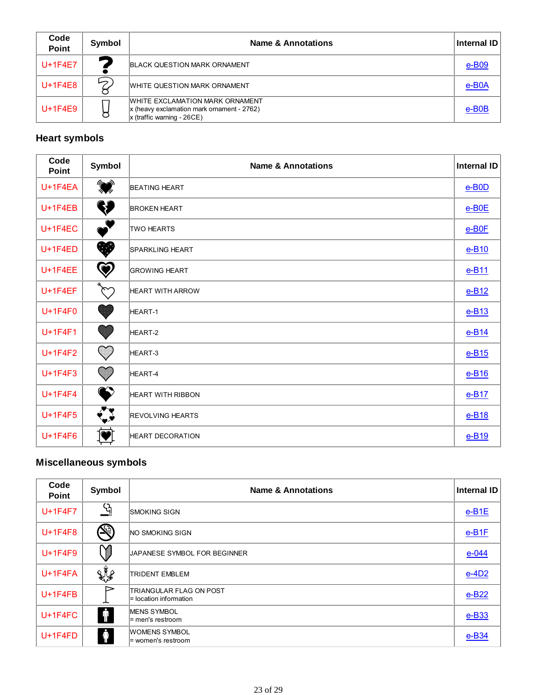| Code<br><b>Point</b> | Symbol | <b>Name &amp; Annotations</b>                                                                                   | Internal ID |
|----------------------|--------|-----------------------------------------------------------------------------------------------------------------|-------------|
| $U+1F4E7$            | ∽      | <b>BLACK QUESTION MARK ORNAMENT</b>                                                                             | e-B09       |
| $U+1F4E8$            | Ь      | WHITE QUESTION MARK ORNAMENT                                                                                    | $e$ -BOA    |
| $U+1F4E9$            |        | WHITE EXCLAMATION MARK ORNAMENT<br>$x$ (heavy exclamation mark ornament - 2762)<br>$x$ (traffic warning - 26CE) | e-B0B       |

### **Heart symbols**

| Code<br><b>Point</b> | Symbol                 | <b>Name &amp; Annotations</b> | <b>Internal ID</b> |
|----------------------|------------------------|-------------------------------|--------------------|
| U+1F4EA              | $\bigotimes$           | <b>BEATING HEART</b>          | $e$ -BOD           |
| $U+1F4EB$            | W                      | <b>BROKEN HEART</b>           | $e$ -BOE           |
| $U+1F4EC$            | $\bullet$              | <b>TWO HEARTS</b>             | $e$ -BOF           |
| $U+1F4ED$            | ❤                      | <b>SPARKLING HEART</b>        | $e-B10$            |
| $U+1F4EE$            | $\bm \circledcirc$     | <b>GROWING HEART</b>          | $e-B11$            |
| $U+1F4EF$            | $\sim$                 | <b>HEART WITH ARROW</b>       | $e-B12$            |
| $U+1F4F0$            | u                      | HEART-1                       | $e-B13$            |
| U+1F4F1              |                        | HEART-2                       | $e-B14$            |
| U+1F4F2              |                        | HEART-3                       | $e-B15$            |
| U+1F4F3              | $\mathbf{\mathcal{C}}$ | HEART-4                       | $e-B16$            |
| U+1F4F4              |                        | <b>HEART WITH RIBBON</b>      | $e-B17$            |
| $U+1F4F5$            | $\sqrt{\frac{2}{2}}$   | <b>REVOLVING HEARTS</b>       | $e-B18$            |
| $U+1F4F6$            |                        | <b>HEART DECORATION</b>       | $e-B19$            |

### **Miscellaneous symbols**

| Code<br><b>Point</b> | Symbol               | <b>Name &amp; Annotations</b>                     | <b>Internal ID</b> |
|----------------------|----------------------|---------------------------------------------------|--------------------|
| $U+1F4F7$            | လူ                   | <b>ISMOKING SIGN</b>                              | $e-B1E$            |
| $U+1F4F8$            | (S)                  | <b>NO SMOKING SIGN</b>                            | $e-B1F$            |
| $U+1F4F9$            |                      | JAPANESE SYMBOL FOR BEGINNER                      | $e - 044$          |
| $U+1F4FA$            | XY                   | <b>TRIDENT EMBLEM</b>                             | $e-4D2$            |
| $U+1F4FB$            |                      | TRIANGULAR FLAG ON POST<br>= location information | $e-B22$            |
| $U+1F4FC$            | $ \pmb{\mathsf{f}} $ | <b>IMENS SYMBOL</b><br>l= men's restroom          | $e$ -B33           |
| $U+1F4FD$            | $\hat{\Phi}$         | WOMENS SYMBOL<br>l= women's restroom              | e-B <sub>34</sub>  |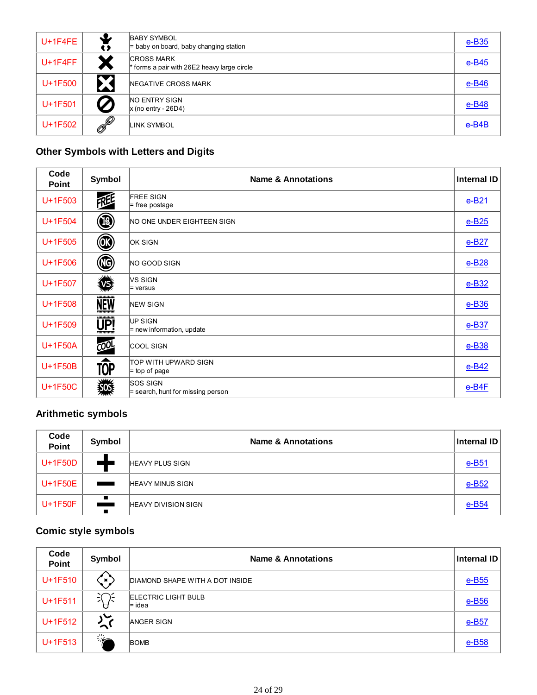| $U+1F4FE$ | J,<br>t J        | <b>BABY SYMBOL</b><br>$=$ baby on board, baby changing station   | $e$ -B <sub>35</sub> |
|-----------|------------------|------------------------------------------------------------------|----------------------|
| $U+1F4FF$ |                  | <b>CROSS MARK</b><br>* forms a pair with 26E2 heavy large circle | $e$ -B45             |
| U+1F500   | $\bullet$        | NEGATIVE CROSS MARK                                              | $e$ -B46             |
| $U+1F501$ | $\boldsymbol{Z}$ | <b>NO ENTRY SIGN</b><br>$\vert x \vert$ (no entry - 26D4)        | $e$ -B48             |
| U+1F502   | P                | LINK SYMBOL                                                      | e-B4B                |

# **Other Symbols with Letters and Digits**

| Code<br>Point | Symbol                                                | <b>Name &amp; Annotations</b>                          | <b>Internal ID</b>   |
|---------------|-------------------------------------------------------|--------------------------------------------------------|----------------------|
| U+1F503       | REE                                                   | <b>FREE SIGN</b><br>$=$ free postage                   | $e-B21$              |
| U+1F504       | (®)                                                   | NO ONE UNDER EIGHTEEN SIGN                             | $e$ -B <sub>25</sub> |
| U+1F505       | $\circledcirc$                                        | <b>OK SIGN</b>                                         | $e-B27$              |
| $U+1F506$     | $^\circledR$                                          | NO GOOD SIGN                                           | $e-B28$              |
| $U+1F507$     | 逃                                                     | VS SIGN<br>$=$ versus                                  | $e$ -B32             |
| U+1F508       | ************<br><b>NEW</b><br>,,,,,,,,,,,,,           | <b>NEW SIGN</b>                                        | $e$ -B <sub>36</sub> |
| U+1F509       | ************<br>$\underline{\overline{\mathsf{UP!}}}$ | UP SIGN<br>$=$ new information, update                 | $e$ -B37             |
| U+1F50A       | CO <sup>0</sup>                                       | COOL SIGN                                              | $e$ -B <sub>38</sub> |
| U+1F50B       | <b>TOP</b>                                            | TOP WITH UPWARD SIGN<br>$=$ top of page                | $e$ -B42             |
| U+1F50C       | 纖                                                     | <b>SOS SIGN</b><br>$=$ search, hunt for missing person | $e$ -B4F             |

# **Arithmetic symbols**

| Code<br>Point | Symbol                     | <b>Name &amp; Annotations</b> | Internal ID          |
|---------------|----------------------------|-------------------------------|----------------------|
| U+1F50D       |                            | <b>HEAVY PLUS SIGN</b>        | $e-B51$              |
| U+1F50E       | <b>Contract Contract</b>   | <b>HEAVY MINUS SIGN</b>       | $e$ -B <sub>52</sub> |
| $U+1F50F$     | П<br><u>e de la c</u><br>П | <b>HEAVY DIVISION SIGN</b>    | $e$ -B54             |

# **Comic style symbols**

| Code<br>Point | Symbol      | <b>Name &amp; Annotations</b>          | Internal ID          |
|---------------|-------------|----------------------------------------|----------------------|
| U+1F510       | `∎ `        | DIAMOND SHAPE WITH A DOT INSIDE        | $e$ -B55             |
| $U+1F511$     | $\tilde{z}$ | <b>ELECTRIC LIGHT BULB</b><br>$=$ idea | $e$ -B <sub>56</sub> |
| U+1F512       | $\sim$      | <b>ANGER SIGN</b>                      | $e-B57$              |
| U+1F513       | ▓           | <b>BOMB</b>                            | $e$ -B <sub>58</sub> |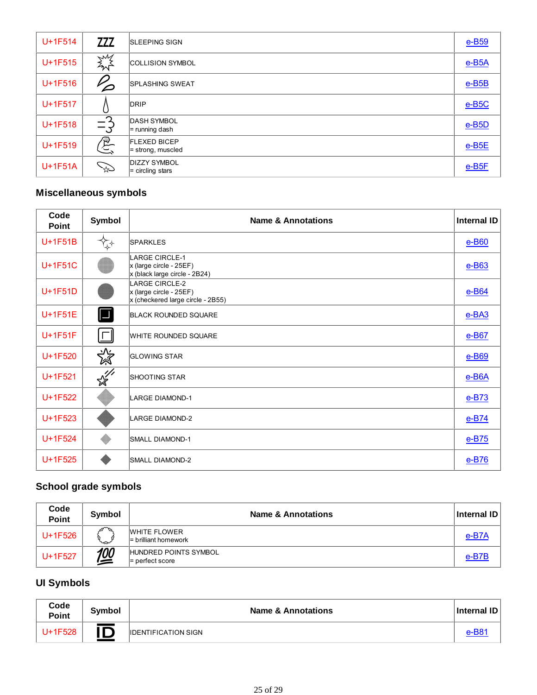| U+1F514 | <b>ZZZ</b>                   | <b>SLEEPING SIGN</b>                       | $e$ -B <sub>59</sub>    |
|---------|------------------------------|--------------------------------------------|-------------------------|
| U+1F515 | <b>SMS</b>                   | <b>COLLISION SYMBOL</b>                    | $e$ -B <sub>5</sub> A   |
| U+1F516 | $\boldsymbol{\varphi}$       | <b>SPLASHING SWEAT</b>                     | $e$ -B <sub>5</sub> B   |
| U+1F517 |                              | DRIP                                       | $e$ -B <sub>5</sub> $C$ |
| U+1F518 | ⌒<br>$\equiv$ $\zeta$<br>- 1 | <b>DASH SYMBOL</b><br>$=$ running dash     | $e$ -B <sub>5</sub> D   |
| U+1F519 | $\mathcal{E}$                | <b>FLEXED BICEP</b><br>$=$ strong, muscled | $e$ -B <sub>5</sub> $E$ |
| U+1F51A | $\mathscr{Z}$                | <b>DIZZY SYMBOL</b><br>$=$ circling stars  | $e$ -B <sub>5</sub> $F$ |

### **Miscellaneous symbols**

| Code<br><b>Point</b> | Symbol        | <b>Name &amp; Annotations</b>                                                           | <b>Internal ID</b> |
|----------------------|---------------|-----------------------------------------------------------------------------------------|--------------------|
| $U+1F51B$            |               | <b>SPARKLES</b>                                                                         | $e$ -B60           |
| U+1F51C              |               | <b>LARGE CIRCLE-1</b><br>x (large circle - 25EF)<br>x (black large circle - 2B24)       | $e$ -B63           |
| U+1F51D              |               | <b>LARGE CIRCLE-2</b><br>x (large circle - 25EF)<br>$x$ (checkered large circle - 2B55) | $e$ -B64           |
| $U+1F51E$            | $\Box$        | <b>BLACK ROUNDED SQUARE</b>                                                             | $e$ -BA3           |
| $U+1F51F$            | $\sqcap$      | WHITE ROUNDED SQUARE                                                                    | $e$ -B67           |
| U+1F520              | $\frac{1}{2}$ | <b>GLOWING STAR</b>                                                                     | $e$ -B69           |
| U+1F521              | $\frac{1}{2}$ | <b>SHOOTING STAR</b>                                                                    | $e$ -B6A           |
| U+1F522              |               | <b>LARGE DIAMOND-1</b>                                                                  | $e-B73$            |
| U+1F523              |               | <b>LARGE DIAMOND-2</b>                                                                  | $e-B74$            |
| U+1F524              |               | <b>SMALL DIAMOND-1</b>                                                                  | $e$ -B75           |
| U+1F525              |               | <b>SMALL DIAMOND-2</b>                                                                  | $e$ -B76           |

# **School grade symbols**

| Code<br><b>Point</b> | Symbol     | <b>Name &amp; Annotations</b>                 | Internal ID |
|----------------------|------------|-----------------------------------------------|-------------|
| U+1F526              | Գ∖<br>ىمىي | <b>WHITE FLOWER</b><br>$=$ brilliant homework | e-B7A       |
| U+1F527              | <u>100</u> | HUNDRED POINTS SYMBOL<br>$=$ perfect score    | e-B7B       |

### **UI Symbols**

| Code<br><b>Point</b> | <b>Symbol</b> | <b>Name &amp; Annotations</b> | <b>Internal ID</b> |
|----------------------|---------------|-------------------------------|--------------------|
| $U+1F528$            | IC            | <b>IDENTIFICATION SIGN</b>    |                    |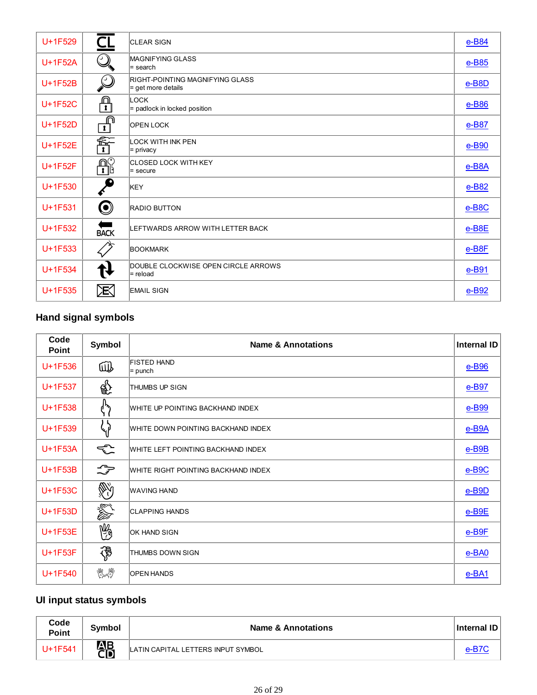| U+1F529   | $\mathsf{C}\mathsf{I}$                   | <b>CLEAR SIGN</b>                                       | e-B84                |
|-----------|------------------------------------------|---------------------------------------------------------|----------------------|
| $U+1F52A$ | (2)                                      | <b>MAGNIFYING GLASS</b><br>l= search                    | $e$ -B85             |
| U+1F52B   | $\mathcal{Q}$                            | RIGHT-POINTING MAGNIFYING GLASS<br>$=$ get more details | $e$ -B8D             |
| U+1F52C   | ⋒<br>$\overline{\mathbf{r}}$             | LOCK<br>$=$ padlock in locked position                  | $e$ -B86             |
| U+1F52D   | ∩<br>$\overline{\mathbf{1}}$             | <b>OPEN LOCK</b>                                        | e-B87                |
| U+1F52E   | $\mathop{\widehat{\mathbb{F}}}\nolimits$ | <b>LOCK WITH INK PEN</b><br>$=$ privacy                 | $e$ -B <sub>90</sub> |
| $U+1F52F$ | $\mathbf{P}_{\mathbf{I}}^{\mathbf{C}}$   | <b>CLOSED LOCK WITH KEY</b><br>$=$ secure               | $e$ -B8A             |
| U+1F530   |                                          | KEY                                                     | $e$ -B82             |
| $U+1F531$ | $\bm{\mathsf{\Theta}}$                   | <b>RADIO BUTTON</b>                                     | $e$ -B8C             |
| U+1F532   | <b>BACK</b>                              | LEFTWARDS ARROW WITH LETTER BACK                        | $e$ -B8E             |
| U+1F533   |                                          | <b>BOOKMARK</b>                                         | e-B8F                |
| U+1F534   |                                          | DOUBLE CLOCKWISE OPEN CIRCLE ARROWS<br>$=$ reload       | e-B91                |
| $U+1F535$ | 厌                                        | <b>EMAIL SIGN</b>                                       | $e$ -B92             |

# **Hand signal symbols**

| Code<br><b>Point</b> | Symbol        | <b>Name &amp; Annotations</b>       | <b>Internal ID</b>      |
|----------------------|---------------|-------------------------------------|-------------------------|
| U+1F536              | 哑             | <b>FISTED HAND</b><br>$=$ punch     | $e$ -B <sub>96</sub>    |
| $U+1F537$            | क्रि          | THUMBS UP SIGN                      | e-B97                   |
| U+1F538              | ረን            | WHITE UP POINTING BACKHAND INDEX    | $e$ -B <sub>99</sub>    |
| U+1F539              | $\mathcal{G}$ | WHITE DOWN POINTING BACKHAND INDEX  | $e$ -B9A                |
| $U+1F53A$            | €             | WHITE LEFT POINTING BACKHAND INDEX  | $e$ -B9B                |
| $U+1F53B$            | $\Rightarrow$ | WHITE RIGHT POINTING BACKHAND INDEX | $e$ -B <sub>9</sub> $C$ |
| U+1F53C              | N             | <b>WAVING HAND</b>                  | $e$ -B9D                |
| $U+1F53D$            | EST.<br>OST   | <b>CLAPPING HANDS</b>               | $e$ -B9E                |
| U+1F53E              | 罂             | <b>OK HAND SIGN</b>                 | $e$ -B9F                |
| U+1F53F              | ৻৳            | THUMBS DOWN SIGN                    | $e$ -BAO                |
| $U+1F540$            | 微学            | <b>OPEN HANDS</b>                   | $e$ -BA1                |

# **UI input status symbols**

| Code<br><b>Point</b> | <b>Symbol</b> | Name & Annotations                 | <b>Internal ID</b> |
|----------------------|---------------|------------------------------------|--------------------|
| J+1F541              | 器             | LATIN CAPITAL LETTERS INPUT SYMBOL |                    |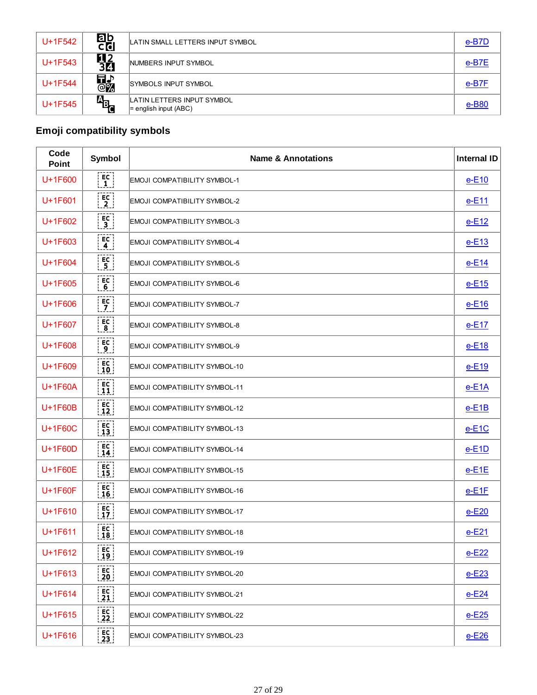| U+1F542   | ab<br>Cd        | LATIN SMALL LETTERS INPUT SYMBOL                      | e-B7D   |
|-----------|-----------------|-------------------------------------------------------|---------|
| U+1F543   | <b>92</b><br>30 | NUMBERS INPUT SYMBOL                                  | $e-B7E$ |
| U+1F544   | 品の              | <b>SYMBOLS INPUT SYMBOL</b>                           | e-B7F   |
| $U+1F545$ | a <sub>b</sub>  | LATIN LETTERS INPUT SYMBOL<br>$=$ english input (ABC) | e-B80   |

# **Emoji compatibility symbols**

| Code<br><b>Point</b> | Symbol                                                                         | <b>Name &amp; Annotations</b>        | <b>Internal ID</b> |
|----------------------|--------------------------------------------------------------------------------|--------------------------------------|--------------------|
| U+1F600              | [EC]<br>$\left\lfloor 1 \right\rfloor$                                         | <b>EMOJI COMPATIBILITY SYMBOL-1</b>  | $e-E10$            |
| U+1F601              | $\begin{bmatrix} 1 & 1 \\ 2 & 1 \end{bmatrix}$                                 | <b>EMOJI COMPATIBILITY SYMBOL-2</b>  | $e-E11$            |
| U+1F602              | $\begin{bmatrix} 1 & 1 \\ 3 & 1 \end{bmatrix}$                                 | EMOJI COMPATIBILITY SYMBOL-3         | $e-E12$            |
| $U+1F603$            | E<br>$\left[ 4 \right]$                                                        | EMOJI COMPATIBILITY SYMBOL-4         | $e-E13$            |
| $U+1F604$            | i ec i<br>$\overline{.5}$ .                                                    | <b>EMOJI COMPATIBILITY SYMBOL-5</b>  | $e-E14$            |
| U+1F605              | $\begin{bmatrix} \mathsf{EC} \\ \mathsf{6} \end{bmatrix}$                      | EMOJI COMPATIBILITY SYMBOL-6         | $e-E15$            |
| U+1F606              | $\begin{bmatrix} 5C \\ 7 \end{bmatrix}$                                        | <b>EMOJI COMPATIBILITY SYMBOL-7</b>  | $e-E16$            |
| U+1F607              | $\begin{bmatrix} \mathsf{EC} \ \mathsf{8} \end{bmatrix}$                       | <b>EMOJI COMPATIBILITY SYMBOL-8</b>  | $e-E17$            |
| U+1F608              | $\begin{bmatrix} 5 & 1 \ 1 & 0 \end{bmatrix}$                                  | EMOJI COMPATIBILITY SYMBOL-9         | $e-E18$            |
| U+1F609              | $\begin{bmatrix} 5C \\ 10 \end{bmatrix}$                                       | EMOJI COMPATIBILITY SYMBOL-10        | $e-E19$            |
| U+1F60A              | $\begin{bmatrix} 5C \\ 11 \end{bmatrix}$                                       | <b>EMOJI COMPATIBILITY SYMBOL-11</b> | $e-E1A$            |
| U+1F60B              | $\begin{bmatrix} 5C \\ 12 \end{bmatrix}$                                       | <b>EMOJI COMPATIBILITY SYMBOL-12</b> | $e-E1B$            |
| <b>U+1F60C</b>       | $\begin{bmatrix} 13 \end{bmatrix}$                                             | <b>EMOJI COMPATIBILITY SYMBOL-13</b> | $e-E1C$            |
| U+1F60D              | $\begin{bmatrix} E & 1 \\ 1 & 4 \end{bmatrix}$                                 | EMOJI COMPATIBILITY SYMBOL-14        | $e$ -E1D           |
| U+1F60E              | $\frac{EC}{15}$                                                                | <b>EMOJI COMPATIBILITY SYMBOL-15</b> | $e$ -E1E           |
| U+1F60F              | $\begin{bmatrix} 5 & 1 \\ 1 & 6 \end{bmatrix}$                                 | EMOJI COMPATIBILITY SYMBOL-16        | $e-E1F$            |
| U+1F610              | $\begin{bmatrix} 5C \\ 17 \end{bmatrix}$                                       | EMOJI COMPATIBILITY SYMBOL-17        | $e-E20$            |
| U+1F611              | i EC<br>18                                                                     | EMOJI COMPATIBILITY SYMBOL-18        | $e-E21$            |
| U+1F612              | $\begin{bmatrix} E_C \\ 19 \end{bmatrix}$                                      | EMOJI COMPATIBILITY SYMBOL-19        | $e-E22$            |
| U+1F613              | $rac{EC}{20}$                                                                  | EMOJI COMPATIBILITY SYMBOL-20        | $e-E23$            |
| U+1F614              | $\frac{EC}{21}$                                                                | EMOJI COMPATIBILITY SYMBOL-21        | $e-E24$            |
| U+1F615              | $\left[\begin{smallmatrix} \texttt{EC} \ \texttt{22} \end{smallmatrix}\right]$ | EMOJI COMPATIBILITY SYMBOL-22        | $e-E25$            |
| U+1F616              | $\begin{bmatrix} 1 & 1 \\ 2 & 3 \end{bmatrix}$                                 | EMOJI COMPATIBILITY SYMBOL-23        | $e-E26$            |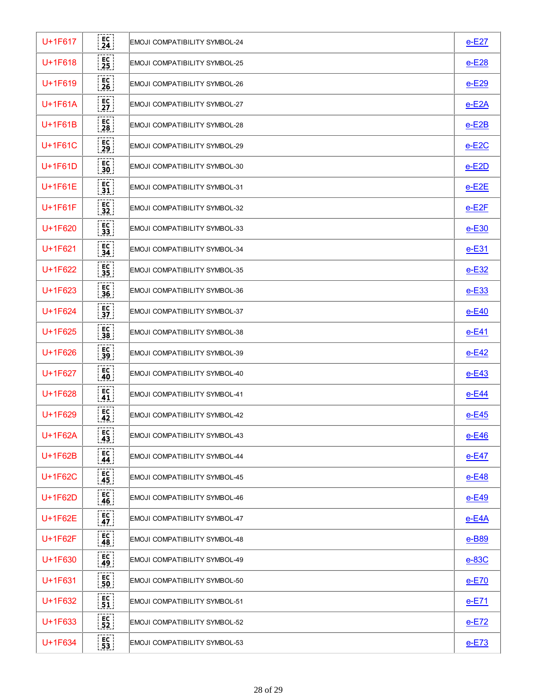| U+1F617   | i ec i<br>$\left\lfloor 24 \right\rfloor$                 | EMOJI COMPATIBILITY SYMBOL-24 | $e-E27$      |
|-----------|-----------------------------------------------------------|-------------------------------|--------------|
| $U+1F618$ | $\begin{bmatrix} 1 & 1 \\ 2 & 5 \end{bmatrix}$            | EMOJI COMPATIBILITY SYMBOL-25 | $e-E28$      |
| $U+1F619$ | $\begin{bmatrix} \mathsf{EC} \ \mathsf{26} \end{bmatrix}$ | EMOJI COMPATIBILITY SYMBOL-26 | $e-E29$      |
| $U+1F61A$ | i EC i<br>$\bar{2}\bar{7}$                                | EMOJI COMPATIBILITY SYMBOL-27 | $e$ -E2A     |
| $U+1F61B$ | i EC i<br>28                                              | EMOJI COMPATIBILITY SYMBOL-28 | $e$ -E2B     |
| $U+1F61C$ | : EC<br><u>  29  </u>                                     | EMOJI COMPATIBILITY SYMBOL-29 | $e$ -E2C     |
| $U+1F61D$ | i EC l<br> 30                                             | EMOJI COMPATIBILITY SYMBOL-30 | $e$ -E2D     |
| $U+1F61E$ | ! EC<br>$\lfloor 31 \rfloor$                              | EMOJI COMPATIBILITY SYMBOL-31 | $e$ -E2E     |
| $U+1F61F$ | i EC<br>$\vert$ 32 $\vert$                                | EMOJI COMPATIBILITY SYMBOL-32 | $e$ -E2F     |
| U+1F620   | $\frac{1}{33}$                                            | EMOJI COMPATIBILITY SYMBOL-33 | $e-E30$      |
| U+1F621   | $\begin{bmatrix} 1 & 1 \\ 3 & 4 \end{bmatrix}$            | EMOJI COMPATIBILITY SYMBOL-34 | $e-E31$      |
| U+1F622   | EC<br>.35                                                 | EMOJI COMPATIBILITY SYMBOL-35 | $e-E32$      |
| $U+1F623$ | : EC<br><u>: 36 ¦</u>                                     | EMOJI COMPATIBILITY SYMBOL-36 | $e-E33$      |
| $U+1F624$ | $\begin{bmatrix} 5C \\ 37 \end{bmatrix}$                  | EMOJI COMPATIBILITY SYMBOL-37 | $e-E40$      |
| $U+1F625$ | i EC i<br>$\frac{1}{2}$ 38                                | EMOJI COMPATIBILITY SYMBOL-38 | $e-E41$      |
| $U+1F626$ | i EC I<br>$\lfloor .39 \rfloor$                           | EMOJI COMPATIBILITY SYMBOL-39 | $e-E42$      |
| U+1F627   | i EC l<br> 40                                             | EMOJI COMPATIBILITY SYMBOL-40 | $e-E43$      |
| $U+1F628$ | E <sub>C</sub><br>$\lfloor 41 \rfloor$                    | EMOJI COMPATIBILITY SYMBOL-41 | $e-E44$      |
| U+1F629   | EC i<br>$\lfloor 42 \rfloor$                              | EMOJI COMPATIBILITY SYMBOL-42 | $e-E45$      |
| U+1F62A   | i EC i<br>$\lfloor 43 \rfloor$                            | EMOJI COMPATIBILITY SYMBOL-43 | $e$ -E46     |
| U+1F62B   | $\lfloor 44 \rfloor$                                      | EMOJI COMPATIBILITY SYMBOL-44 | <u>e-E47</u> |
| U+1F62C   | $\lfloor 45 \rfloor$                                      | EMOJI COMPATIBILITY SYMBOL-45 | <u>e-E48</u> |
| $U+1F62D$ | : EC<br><u>  46  </u>                                     | EMOJI COMPATIBILITY SYMBOL-46 | <u>e-E49</u> |
| $U+1F62E$ | i EC l<br>.47.1                                           | EMOJI COMPATIBILITY SYMBOL-47 | <u>e-E4A</u> |
| U+1F62F   | $F_{EC}$<br>.48.                                          | EMOJI COMPATIBILITY SYMBOL-48 | e-B89        |
| U+1F630   | i EC l<br>$\lfloor 49 \rfloor$                            | EMOJI COMPATIBILITY SYMBOL-49 | $e-83C$      |
| U+1F631   | : EC :<br>50                                              | EMOJI COMPATIBILITY SYMBOL-50 | $e$ -E70     |
| U+1F632   | $\frac{EC}{51}$                                           | EMOJI COMPATIBILITY SYMBOL-51 | $e-E71$      |
| U+1F633   | $\frac{EC}{52}$                                           | EMOJI COMPATIBILITY SYMBOL-52 | $e-E72$      |
| U+1F634   | $\begin{bmatrix} 1 & 1 \\ 5 & 3 \end{bmatrix}$            | EMOJI COMPATIBILITY SYMBOL-53 | $e-E73$      |